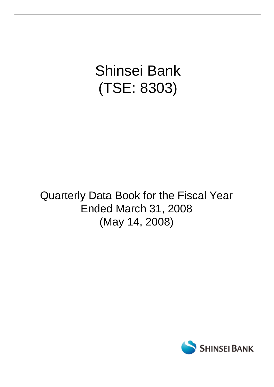# Shinsei Bank (TSE: 8303)

# Quarterly Data Book for the Fiscal Year Ended March 31, 2008 (May 14, 2008)

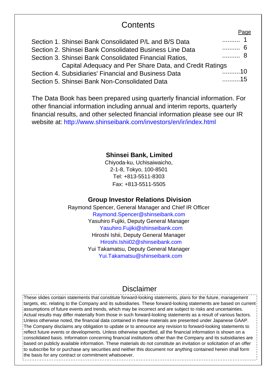# **Contents**

|                                                         | r aut |
|---------------------------------------------------------|-------|
| Section 1. Shinsei Bank Consolidated P/L and B/S Data   | . 1   |
| Section 2. Shinsei Bank Consolidated Business Line Data | . 6   |
| Section 3. Shinsei Bank Consolidated Financial Ratios,  | . 8   |
| Capital Adequacy and Per Share Data, and Credit Ratings |       |
| Section 4. Subsidiaries' Financial and Business Data    | 10    |
| Section 5. Shinsei Bank Non-Consolidated Data           | . 15  |

The Data Book has been prepared using quarterly financial information. For other financial information including annual and interim reports, quarterly financial results, and other selected financial information please see our IR website at: http://www.shinseibank.com/investors/en/ir/index.html

## **Shinsei Bank, Limited**

Chiyoda-ku, Uchisaiwaicho, 2-1-8, Tokyo, 100-8501 Tel: +813-5511-8303 Fax: +813-5511-5505

### **Group Investor Relations Division**

Raymond Spencer, General Manager and Chief IR Officer Raymond.Spencer@shinseibank.com Yasuhiro Fujiki, Deputy General Manager Yasuhiro.Fujiki@shinseibank.com Hiroshi Ishii, Deputy General Manager Hiroshi.Ishii02@shinseibank.com Yui Takamatsu, Deputy General Manager Yui.Takamatsu@shinseibank.com

# Disclaimer

These slides contain statements that constitute forward-looking statements, plans for the future, management targets, etc. relating to the Company and its subsidiaries. These forward-looking statements are based on current assumptions of future events and trends, which may be incorrect and are subject to risks and uncertainties. Actual results may differ materially from those in such forward-looking statements as a result of various factors. Unless otherwise noted, the financial data contained in these materials are presented under Japanese GAAP. The Company disclaims any obligation to update or to announce any revision to forward-looking statements to reflect future events or developments. Unless otherwise specified, all the financial information is shown on a consolidated basis. Information concerning financial institutions other than the Company and its subsidiaries are based on publicly available information. These materials do not constitute an invitation or solicitation of an offer to subscribe for or purchase any securities and neither this document nor anything contained herein shall form the basis for any contract or commitment whatsoever.

Page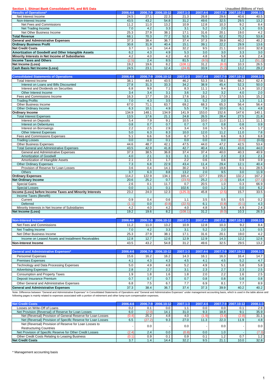| Section 1. Shinsei Bank Consolidated P/L and B/S Data |          |          |            |          |          |          | Unaudited (Billions of Yen) |          |
|-------------------------------------------------------|----------|----------|------------|----------|----------|----------|-----------------------------|----------|
| <b>Results of Operations*</b>                         | 2006.4-6 | 2006.7-9 | 2006.10-12 | 2007.1-3 | 2007.4-6 | 2007.7-9 | 2007.10-12                  | 2008.1-3 |
| Net Interest Income                                   | 24.5     | 27.1     | 22.3       | 21.3     | 26.8     | 29.6     | 40.6                        | 40.5     |
| Non-Interest Income                                   | 43.5     | 43.2     | 54.8       | 31.2     | 49.6     | 32.5     | 29.5                        | 13.2     |
| Net Fees and Commissions                              | 11.2     | 11.0     | 13.2       | 10.9     | 12.8     | 10.3     | 9.2                         | 8.4      |
| Net Trading Income                                    | 7.0      | 4.2      | 3.3        | 3.1      | 5.2      | 2.0      | 1.3                         | 0.5      |
| Net Other Business Income                             | 25.3     | 27.9     | 38.1       | 17.1     | 31.6     | 20.1     | 19.0                        | 4.2      |
| <b>Total Revenue</b>                                  | 68.1     | 70.3     | 77.2       | 52.6     | 76.5     | 62.2     | 70.2                        | 53.8     |
| <b>General and Administrative Expenses</b>            | 37.3     | 38.4     | 36.7       | 37.4     | 37.3     | 39.9     | 40.2                        | 40.2     |
| <b>Ordinary Business Profit</b>                       | 30.8     | 31.9     | 40.4       | 15.1     | 39.1     | 22.2     | 29.9                        | 13.6     |
| <b>Net Credit Costs</b>                               | 3.7      | 1.4      | 14.4       | 32.2     | 9.5      | 21.1     | 10.0                        | 32.8     |
| Amortization of Goodwill and Other Intangible Assets  | 6.2      | 4.3      | 4.9        | 5.3      | 3.0      | 3.0      | 3.3                         | 3.0      |
| Minority Interests in Net Income of Subsidiaries      | 4.2      | 4.0      | 4.2        | 4.0      | 4.8      | 5.8      | 4.9                         | 2.4      |
| <b>Income Taxes and Others</b>                        | (2.5)    | 2.4      | 8.5        | 81.5     | (9.5)    | 0.2      | 1.2                         | (51.2)   |
| Net Income (Loss)                                     | 19.2     | 19.6     | 8.2        | (108.1)  | 31.2     | (8.0)    | 10.3                        | 26.5     |
| <b>Cash Basis Net Income (Loss)</b>                   | 24.5     | 23.1     | 12.4       | (24.8)   | 33.9     | (5.2)    | 13.2                        | 29.2     |

| <b>Consolidated Statements of Operations</b>             | 2006.4-6 | 2006.7-9 | 2006.10-12 | 2007.1-3          | $2007.4 - 6$     | 2007.7-9 | 2007.10-12       | 2008.1-3 |
|----------------------------------------------------------|----------|----------|------------|-------------------|------------------|----------|------------------|----------|
| Total Interest Income                                    | 38.1     | 44.8     | 43.5       | 46.2              | 53.3             | 58.1     | 68.2             | 62.4     |
| Interest on Loans and Bills Discounted                   | 27.8     | 31.3     | 33.3       | 34.2              | 38.9             | 45.4     | 52.3             | 50.0     |
| Interest and Dividends on Securities                     | 6.8      | 9.9      | 7.1        | 8.3               | 11.1             | 9.4      | 11.9             | 10.2     |
| Other Interest Income                                    | 3.4      | 3.4      | 3.1        | 3.6               | 3.2              | 3.2      | 4.0              | 2.0      |
| Fees and Commissions Income                              | 16.3     | 17.7     | 19.1       | $\overline{17.6}$ | 18.1             | 17.0     | 15.5             | 15.2     |
| <b>Trading Profits</b>                                   | 7.0      | 4.3      | 3.5        | 3.1               | 5.2              | 2.0      | 1.3              | 1.1      |
| <b>Other Business Income</b>                             | 67.0     | 71.1     | 63.7       | 69.2              | 68.3             | 65.3     | 56.4             | 56.4     |
| Other Ordinary Income                                    | 6.3      | 10.1     | 4.9        | 5.5               | 7.9              | 10.0     | 6.1              | 4.8      |
| <b>Ordinary Income</b>                                   | 134.9    | 148.1    | 134.9      | 141.9             | 153.0            | 152.6    | 147.6            | 140.1    |
| <b>Total Interest Expenses</b>                           | 13.5     | 17.6     | 21.1       | 24.8              | 26.5             | 28.4     | 27.5             | 21.8     |
| <b>Interest on Deposits</b>                              | 5.4      | 7.9      | 9.1        | 10.5              | 10.0             | 11.0     | 11.1             | 11.1     |
| Interest on Debentures                                   | 0.8      | 0.7      | 0.7        | 0.7               | 0.7              | 0.8      | 0.8              | 0.9      |
| Interest on Borrowings                                   | 2.2      | 2.5      | 2.9        | 3.4               | 3.6              | 5.3      | 4.5              | 1.7      |
| <b>Other Interest Expenses</b>                           | 5.0      | 6.3      | 8.3        | 10.0              | 12.0             | 11.2     | 11.0             | 7.8      |
| Fees and Commissions Expenses                            | 5.1      | 6.6      | 5.8        | 6.7               | 5.3              | 6.6      | 6.3              | 6.8      |
| <b>Trading Losses</b>                                    | 0.0      | 0.0      | 0.1        | 0.0               | 0.0              | 0.0      | (0.0)            | (0.0)    |
| <b>Other Business Expenses</b>                           | 44.6     | 48.7     | 42.1       | 47.5              | 44.0             | 47.2     | 42.5             | 53.4     |
| <b>Total General and Administrative Expenses</b>         | 43.5     | 42.9     | 41.8       | 42.7              | 40.4             | 43.1     | 43.6             | 44.0     |
| General and Administrative Expenses                      | 37.3     | 38.5     | 36.8       | 37.4              | 37.4             | 40.0     | 40.3             | 40.9     |
| Amortization of Goodwill                                 | 4.0      | 2.1      | 3.1        | 3.1               | 2.3              | 2.3      | 2.3              | 2.1      |
| Amortization of Intangible Assets                        | 2.1      | 2.1      | 1.7        | 2.2               | 0.6              | 0.6      | 0.9              | 0.9      |
| <b>Other Ordinary Expenses</b>                           | 7.3      | 6.8      | 22.9       | 43.4              | 11.4             | 29.4     | 12.1             | 40.4     |
| Provision of Reserve for Loan Losses                     | 3.6      | 0.4      | 14.1       | 30.2              | 9.3              | 19.8     | 9.1              | 28.5     |
| <b>Others</b>                                            | 3.7      | 6.3      | 8.8        | 13.2              | $\overline{2.0}$ | 9.5      | $\overline{3.0}$ | 11.9     |
| <b>Ordinary Expenses</b>                                 | 114.2    | 122.9    | 134.1      | 165.4             | 127.7            | 155.0    | 132.2            | 167.2    |
| <b>Net Ordinary Income</b>                               | 20.6     | 25.2     | 0.7        | (23.5)            | 25.2             | (2.3)    | 15.4             | (27.1)   |
| <b>Special Gains</b>                                     | 2.6      | 0.1      | 11.7       | 0.7               | 20.5             | 1.0      | 0.3              | 66.9     |
| <b>Special Losses</b>                                    | 0.0      | 1.3      | 0.1        | 102.6             | 0.0              | 1.2      | 0.0              | 6.2      |
| Income (Loss) before Income Taxes and Minority Interests | 23.2     | 24.0     | 12.3       | (125.3)           | 45.8             | (2.5)    | 15.7             | 33.5     |
| Income Taxes (Benefit):                                  |          |          |            |                   |                  |          |                  |          |
| Current                                                  | 0.9      | 0.4      | 0.6        | 1.1               | 3.5              | 0.5      | 0.5              | 0.2      |
| Deferred                                                 | (1.1)    | 0.0      | (0.8)      | (22.5)            | 6.1              | (0.8)    | (0.1)            | 4.3      |
| Minority Interests in Net Income of Subsidiaries         | 4.2      | 4.0      | 4.2        | 4.0               | 4.8              | 5.8      | 4.9              | 2.4      |
| <b>Net Income (Loss)</b>                                 | 19.2     | 19.6     | 8.2        | (108.1)           | 31.2             | (8.0)    | 10.3             | 26.5     |

| Non-Interest Income*                                | 2006.4-6 |      | 2006.7-9 2006.10-12 | 2007.1-3 | 2007.4-6 | 2007.7-9 | 2007.10-12 | 2008.1-3 |
|-----------------------------------------------------|----------|------|---------------------|----------|----------|----------|------------|----------|
| Net Fees and Commissions                            | 11.2     | 11.0 | 13.2                | 10.9     | 12.8     | 10.3     | 9.2        | 8.4      |
| Net Trading Income                                  | 7.0      | 4.2  | 3.3                 | 3.1      | 5.2      | 2.0      | 1.3        | 0.5      |
| Net Other Business Income                           | 25.3     | 27.9 | 38.1                | 17.1     | 31.6     | 20.1     | 19.0       | 4.2      |
| Income on Leased Assets and Installment Receivables | 12.8     | 12.7 | 12.6                | 12.9     | 12.9     | 14.3     | 12.2       | 12.6     |
| Non-Interest Income                                 | 43.5     | 43.2 | 54.8                | 31.2     | 49.6     | 32.5     | 29.5       | 13.2     |

| <b>General and Administrative Expenses*</b> | 2006.4-6 |      | 2006.7-9 2006.10-12 | 2007.1-3 | 2007.4-6         |      | 2007.7-9 2007.10-12 | 2008.1-3 |
|---------------------------------------------|----------|------|---------------------|----------|------------------|------|---------------------|----------|
| <b>Personnel Expenses</b>                   | 15.6     | 16.2 | 16.2                | 14.3     | 16.1             | 16.3 | 16.4                | 14.7     |
| <b>Premises Expenses</b>                    | 4.1      | 4.3  | 4.3                 | 4.5      | $\overline{4}$ . | 4.5  | 5.2                 | 4.7      |
| Technology and Data Processing Expenses     | 5.0      | 4.9  | 4.8                 | 5.2      | 4.9              | 5.1  | 5.8                 | 5.8      |
| <b>Advertising Expenses</b>                 | 2.8      | 2.7  | 2.2                 | 3.1      | 2.3              | 2.7  | 2.3                 | 2.5      |
| Consumption and Property Taxes              | . 9      | 1.8  | 6.،                 | 1.8      | 2.0              | 2.2  | 1.6                 | 2.5      |
| Deposit Insurance Premium                   | 0.7      | 0.7  | 0.7                 | 0.7      | 0.8              | 0.8  | 0.8                 | 0.8      |
| Other General and Administrative Expenses   | 6.8      | 7.5  | 6.7                 | 7.7      | 6.9              | 8.1  | 7.7                 | 8.9      |
| <b>General and Administrative Expenses</b>  | 37.3     | 38.4 | 36.7                | 37.4     | 37.3             | 39.9 | 40.2                | 40.2     |

Note: Difference between "General and Administrative Expenses" in Consolidated Statements of Operations and "General and Administrative Expenses" under management accounting basis, which is used in the table above and<br>foll

| <b>Net Credit Costs</b>                                      | 2006.4-6 |        | 2006.7-9 2006.10-12 | 2007.1-3 | 2007.4-6 |       | 2007.7-9 2007.10-12 | 2008.1-3 |
|--------------------------------------------------------------|----------|--------|---------------------|----------|----------|-------|---------------------|----------|
| Losses on Write-Off of Loans                                 | 0.2      | 0.1    | 0.0                 | ٠.       | 0.0      | 0.0   | 0.1                 | 2.9      |
| Net Provision (Reversal) of Reserve for Loan Losses          | 6.0      | (2.0)  | 14.1                | 31.0     | 9.3      | 18.8  | 9.1                 | 35.9     |
| Net (Reversal) Provision of General Reserve for Loan Losses  | (0.4)    | 25.2   | 4.8                 | 4.0      | (1.9)    | (3.4) | (2.8)               | 31.1     |
| Net (Reversal) Provision of Specific Reserve for Loan Losses | 6.5      | (27.2) | 9.3                 | 27.0     | 11.3     | 22.3  | 11.9                | 4.8      |
| Net (Reversal) Provision of Reserve for Loan Losses to       |          | 0.0    |                     | 0.0      |          | 0.0   |                     | 0.0      |
| <b>Restructuring Countries</b>                               |          |        |                     |          |          |       |                     |          |
| Net Provision of Specific Reserve for Other Credit Losses    | (2.4)    | 2.4    | 0.0                 | (0.8)    | 0.0      | 1.0   |                     | (7.3)    |
| Other Credit Costs Relating to Leasing Business              | (0.1     | 0.9    | 0.1                 | 0.9      | 0.1      | 1.2   | 0.7                 | 1.2      |
| <b>Net Credit Costs</b>                                      | 3.7      | 1.4    | 14.4                | 32.2     | 9.5      | 21.1  | 10.0                | 32.8     |

\* Management accounting basis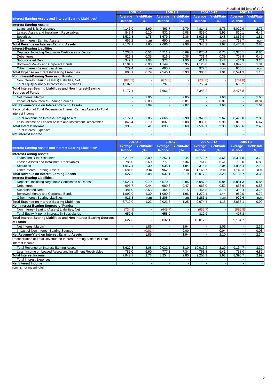|                                                                     |                |                   |                |                   |                |            | Unaudited (Billions of Yen) |                   |
|---------------------------------------------------------------------|----------------|-------------------|----------------|-------------------|----------------|------------|-----------------------------|-------------------|
|                                                                     | 2006.4-6       |                   |                | 2006.7-9          | 2006.10-12     |            |                             | $2007.1 - 3$      |
|                                                                     | Average        | <b>Yield/Rate</b> | Average        | <b>Yield/Rate</b> | Average        | Yield/Rate | Average                     | <b>Yield/Rate</b> |
| Interest-Earning Assets and Interest-Bearing Liabilities*           | <b>Balance</b> | (%)               | <b>Balance</b> | (%)               | <b>Balance</b> | (%)        | <b>Balance</b>              | (%)               |
| <b>Interest-Earning Assets:</b>                                     |                |                   |                |                   |                |            |                             |                   |
| Loans and Bills Discounted                                          | 4.146.0        | 2.69              | 4,463.7        | 2.79              | 4.814.1        | 2.75       | 5.029.9                     | 2.76              |
| Leased Assets and Installment Receivables                           | 843.4          | 6.10              | 832.5          | 6.08              | 839.0          | 5.96       | 810.1                       | 6.47              |
| <b>Securities</b>                                                   | 1,532.3        | 1.78              | 1,679.5        | 2.36              | 1,923.2        | 1.48       | 1,866.9                     | 1.81              |
| Other Interest-Earning Assets                                       | 655.2          | n.m               | 690.2          | n.m.              | 771.7          | n.m        | 768.7                       | n.m.              |
| <b>Total Revenue on Interest-Earning Assets</b>                     | 7,177.1        | 2.85              | 7,666.0        | 2.98              | 8,348.2        | 2.67       | 8,475.8                     | 2.83              |
| <b>Interest-Bearing Liabilities:</b>                                |                |                   |                |                   |                |            |                             |                   |
| Deposits, Including Negotiable Certificates of Deposit              | 4,233.7        | 0.52              | 4,711.7        | 0.69              | 5,070.4        | 0.75       | 5.320.1                     | 0.85              |
| <b>Debentures</b>                                                   | 925.8          | 0.35              | 816.2          | 0.36              | 731.4          | 0.39       | 708.9                       | 0.42              |
| <b>Subordinated Debt</b>                                            | 349.3          | 2.08              | 372.5          | 1.90              | 411.3          | 2.42       | 464.9                       | 3.28              |
| Borrowed Money and Corporate Bonds                                  | 1.104.7        | 0.93              | 1,149.8        | 0.95              | 1,120.8        | 1.04       | 1,097.1                     | 1.34              |
| Other Interest-Bearing Liabilities                                  | 279.4          | n.m.              | 495.7          | n.m.              | 972.5          | n.m.       | 950.1                       | n.m.              |
| <b>Total Expense on Interest-Bearing Liabilities</b>                | 6.893.1        | 0.79              | 7.546.1        | 0.93              | 8.306.5        | 1.01       | 8.541.3                     | 1.18              |
| Non Interest-Bearing Sources of Funds:                              |                |                   |                |                   |                |            |                             |                   |
| Non Interest-Bearing (Assets) Liabilities, Net                      | (823.9)        |                   | (677.3)        |                   | (708.8)        |            | (764.8)                     | $\sim$            |
| <b>Total Equity-Minority Interests in Subsidiaries</b>              | 1,107.9        |                   | 797.3          |                   | 750.4          |            | 699.2                       |                   |
| Total Interest-Bearing Liabilities and Non Interest-Bearing         |                |                   |                |                   |                |            |                             |                   |
| <b>Sources of Funds</b>                                             | 7,177.1        |                   | 7,666.0        |                   | 8,348.2        |            | 8,475.8                     |                   |
| Net Interest Margin                                                 |                | 2.06              |                | 2.05              |                | 1.66       |                             | 1.65              |
| Impact of Non Interest-Bearing Sources                              |                | 0.03              |                | 0.01              |                | 0.01       |                             | (0.01)            |
| Net Revenue/Yield on Interest-Earning Assets                        |                | 2.09              |                | 2.07              |                | 1.66       |                             | 1.64              |
| Reconciliation of Total Revenue on Interest-Earning Assets to Total |                |                   |                |                   |                |            |                             |                   |
| Interest Income:                                                    |                |                   |                |                   |                |            |                             |                   |
| <b>Total Revenue on Interest-Earning Assets</b>                     | 7.177.1        | 2.85              | 7.666.0        | 2.98              | 8,348.2        | 2.67       | 8,475.8                     | 2.83              |
| Less: Income on Leased Assets and Installment Receivables           | 843.4          | 6.10              | 832.5          | 6.08              | 839.0          | 5.96       | 810.1                       | 6.47              |
| <b>Total Interest Income</b>                                        | 6,333.6        | 2.41              | 6,833.5        | 2.60              | 7,509.1        | 2.30       | 7.665.6                     | 2.45              |
| <b>Total Interest Expenses</b>                                      |                |                   |                |                   |                |            |                             |                   |
| <b>Net Interest Income</b>                                          |                |                   |                |                   |                |            |                             |                   |

|                                                                     |                | 2007.4-6          | 2007.7-9       |                   |                | 2007.10-12        |                | 2008.1-3          |
|---------------------------------------------------------------------|----------------|-------------------|----------------|-------------------|----------------|-------------------|----------------|-------------------|
| Interest-Earning Assets and Interest-Bearing Liabilities*           | Average        | <b>Yield/Rate</b> | Average        | <b>Yield/Rate</b> | Average        | <b>Yield/Rate</b> | <b>Average</b> | <b>Yield/Rate</b> |
|                                                                     | <b>Balance</b> | (%)               | <b>Balance</b> | (%)               | <b>Balance</b> | (%)               | <b>Balance</b> | (%)               |
| <b>Interest-Earning Assets:</b>                                     |                |                   |                |                   |                |                   |                |                   |
| Loans and Bills Discounted                                          | 5,213.6        | 3.00              | 5,257.1        | 3.44              | 5,772.7        | 3.61              | 5,317.8        | 3.79              |
| Leased Assets and Installment Receivables                           | 785.0          | 6.60              | 777.8          | 7.34              | 761.8          | 6.41              | 738.0          | 6.89              |
| <b>Securities</b>                                                   | .947.4         | 2.30              | 2,035.1        | 1.84              | 2,315.8        | 2.04              | 1,936.4        | 2.13              |
| Other Interest-Earning Assets                                       | 681.6          | n.m.              | 962.0          | n.m.              | 1,166.7        | n.m               | 1,142.3        | n.m.              |
| <b>Total Revenue on Interest-Earning Assets</b>                     | 8,627.8        | 3.08              | 9,032.1        | 3.19              | 10,017.2       | 3.20              | 9,134.7        | 3.30              |
| <b>Interest-Bearing Liabilities:</b>                                |                |                   |                |                   |                |                   |                |                   |
| Deposits, Including Negotiable Certificates of Deposit              | 5,528.4        | 0.79              | 5,570.9        | 0.86              | 5,987.2        | 0.84              | 5,851.3        | 0.85              |
| <b>Debentures</b>                                                   | 696.7          | 0.44              | 689.6          | 0.47              | 663.0          | 0.52              | 668.6          | 0.58              |
| <b>Subordinated Debt</b>                                            | 481.0          | 3.53              | 464.5          | 3.15              | 466.8          | 3.18              | 393.4          | 3.76              |
| Borrowed Money and Corporate Bonds                                  | .092.0         | 1.30              | 1.090.2        | 1.96              | 1.272.1        | 1.44              | 969.0          | 0.72              |
| Other Interest-Bearing Liabilities                                  | 911.8          | n.m.              | 1,208.4        | n.m.              | .285.1         | n.m               | 972.6          | n.m.              |
| <b>Total Expense on Interest-Bearing Liabilities</b>                | 8,710.0        | 1.22              | 9,023.8        | 1.25              | 9,674.4        | 1.13              | 8,855.1        | 0.99              |
| Non Interest-Bearing Sources of Funds:                              |                |                   |                |                   |                |                   |                |                   |
| Non Interest-Bearing (Assets) Liabilities, Net                      | (734.8)        |                   | (649.7)        |                   | (655.7)        |                   | (686.8)        |                   |
| <b>Total Equity-Minority Interests in Subsidiaries</b>              | 652.6          |                   | 658.0          |                   | 312.9          |                   | 407.3          |                   |
| Total Interest-Bearing Liabilities and Non Interest-Bearing Sources |                |                   |                |                   |                |                   |                |                   |
| of Funds                                                            | 8,627.8        |                   | 9,032.1        |                   | 10,017.2       |                   | 9,134.7        |                   |
| Net Interest Margin                                                 |                | 1.86              |                | 1.94              |                | 2.06              |                | 2.31              |
| Impact of Non Interest-Bearing Sources                              |                | (0.01)            |                | 0.00              |                | 0.04              |                | 0.03              |
| Net Revenue/Yield on Interest-Earning Assets                        |                | 1.85              |                | 1.94              |                | 2.10              |                | 2.34              |
| Reconciliation of Total Revenue on Interest-Earning Assets to Total |                |                   |                |                   |                |                   |                |                   |
| Interest Income:                                                    |                |                   |                |                   |                |                   |                |                   |
| <b>Total Revenue on Interest-Earning Assets</b>                     | 8,627.8        | 3.08              | 9,032.1        | 3.19              | 10,017.2       | 3.20              | 9,134.7        | 3.30              |
| Less: Income on Leased Assets and Installment Receivables           | 785.0          | 6.60              | 777.8          | 7.34              | 761.8          | 6.41              | 738.0          | 6.89              |
| <b>Total Interest Income</b>                                        | 7,842.7        | 2.73              | 8,254.3        | 2.80              | 9,255.3        | 2.93              | 8,396.7        | 2.99              |
| <b>Total Interest Expenses</b>                                      |                |                   |                |                   |                |                   |                |                   |
| Net Interest Income                                                 |                |                   |                |                   |                |                   |                |                   |
|                                                                     |                |                   |                |                   |                |                   |                |                   |

n.m. is not meaningful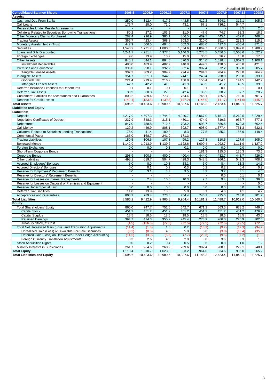|                                                              |         |          |                   |                   |          |          | Unaudited (Billions of Yen) |          |
|--------------------------------------------------------------|---------|----------|-------------------|-------------------|----------|----------|-----------------------------|----------|
| <b>Consolidated Balance Sheets</b>                           | 2006.6  | 2006.9   | 2006.12           | 2007.3            | 2007.6   | 2007.9   | 2007.12                     | 2008.3   |
| Assets:                                                      |         |          |                   |                   |          |          |                             |          |
| Cash and Due From Banks                                      | 250.0   | 312.4    | 417.2             | 448.5             | 412.2    | 394.1    | 316.1                       | 505.6    |
| Call Loans                                                   | 175.7   | 20.0     | 71.0              | 43.1              | 67.1     | 736.1    | 544.7                       |          |
| Receivables Under Resale Agreements                          |         |          |                   |                   |          |          | 3.5                         | 2.0      |
| Collateral Related to Securities Borrowing Transactions      | 80.2    | 27.2     | 103.9             | 11.0              | 47.6     | 74.7     | 93.3                        | 18.7     |
| <b>Other Monetary Claims Purchased</b>                       | 287.4   | 296.9    | 383.1             | 366.5             | 469.7    | 445.1    | 467.0                       | 468.8    |
| <b>Trading Assets</b>                                        | 366.7   | 423.4    | 368.8             | 303.3             | 310.0    | 251.4    | 232.3                       | 315.2    |
| Monetary Assets Held in Trust                                | 447.9   | 506.5    | 494.6             | 502.3             | 488.0    | 417.6    | 400.4                       | 371.5    |
| Securities                                                   | 1,540.9 | 1,771.7  | 1,880.0           | 1,854.6           | 1,869.7  | 2,368.5  | 2,047.8                     | 1,980.2  |
|                                                              |         |          |                   |                   |          |          |                             |          |
| Loans and Bills Discounted                                   | 4,241.7 | 4,781.4  | 4,977.0           | 5,146.3           | 5,278.5  | 5,456.5  | 5,503.6                     | 5,622.2  |
| Foreign Exchanges                                            | 9.6     | 13.9     | 10.7              | 15.0              | 30.5     | 26.7     | 18.8                        | 17.8     |
| <b>Other Assets</b>                                          | 848.1   | 844.1    | 884.0             | 870.3             | 914.0    | 1,018.4  | 1,007.2                     | 1,100.1  |
| <b>Installment Receivables</b>                               | 480.0   | 483.9    | 482.9             | 440.8             | 449.2    | 438.5    | 435.8                       | 421.8    |
| <b>Premises and Equipment</b>                                | 396.0   | 398.1    | 392.7             | 382.4             | 382.4    | 372.2    | 367.0                       | 305.7    |
| <b>Tangible Leased Assets</b>                                | 307.2   | 309.2    | 304.2             | 294.4             | 294.2    | 284.4    | 273.8                       | 264.9    |
| <b>Intangible Assets</b>                                     | 354.7   | 351.0    | 344.0             | 244.1             | 240.4    | 238.8    | 236.8                       | 233.1    |
| Goodwill, Net                                                | 221.4   | 219.4    | 216.2             | 158.0             | 156.4    | 154.1    | 144.5                       | 142.2    |
| <b>Intangible Leased Assets</b>                              | 42.7    | 42.2     | 41.0              | 41.9              | 40.5     | 41.2     | 40.5                        | 39.6     |
| Deferred Issuance Expenses for Debentures                    | 0.1     | 0.1      | 0.1               | 0.1               | 0.1      | 0.1      | 0.1                         | 0.1      |
| <b>Deferred Tax Assets</b>                                   | 30.9    | 30.8     | 27.9              | 42.4              | 35.5     | 38.7     | 37.7                        | 28.2     |
| Customers' Liabilities for Acceptances and Guarantees        | 808.2   | 789.4    | 773.8             | 754.4             | 745.1    | 725.5    | 713.0                       | 701.7    |
| <b>Reserve for Credit Losses</b>                             | (142.1) | (133.8)  | (139.8)           | (147.2)           | (146.0)  | (141.7)  | (141.6)                     | (145.9)  |
| <b>Total Assets</b>                                          | 9,696.6 | 10,433.6 | 10,989.6          | 10.837.6          | 11,145.3 | 12,423.4 | 11,848.1                    | 11,525.7 |
|                                                              |         |          |                   |                   |          |          |                             |          |
| <b>Liabilities and Equity</b>                                |         |          |                   |                   |          |          |                             |          |
| Liabilities:                                                 |         |          |                   |                   |          |          |                             |          |
| <b>Deposits</b>                                              | 4,217.9 | 4,597.3  | 4,744.0           | 4,940.7           | 5,067.0  | 5,151.3  | 5,262.5                     | 5,229.4  |
| <b>Negotiable Certificates of Deposit</b>                    | 237.9   | 348.3    | 315.1             | 480.1             | 474.9    | 719.3    | 935.7                       | 577.1    |
| <b>Debentures</b>                                            | 847.0   | 758.8    | 712.5             | 703.2             | 693.7    | 686.5    | 670.3                       | 662.4    |
| Call Money                                                   | 129.2   | 449.9    | 808.1             | 692.7             | 698.0    | 1,377.4  | 751.3                       | 632.1    |
| <b>Collateral Related to Securities Lending Transactions</b> | 76.0    | 41.4     | 180.8             | 8.3               | 77.5     | 285.1    | 156.9                       | 148.4    |
| <b>Commercial Paper</b>                                      | 165.0   | 168.7    | 241.0             | 171.3             |          |          |                             |          |
| <b>Trading Liabilities</b>                                   | 150.5   | 106.6    | 107.8             | 99.2              | 127.8    | 110.5    | 127.9                       | 205.0    |
| <b>Borrowed Money</b>                                        | 1,142.0 | 1,213.9  | 1,139.2           | 1,122.6           | 1,099.4  | 1,092.7  | 1,111.9                     | 1,127.2  |
| Foreign Exchanges                                            | 0.0     | 0.0      | 0.3               | 0.1               | 0.0      | 0.0      | 0.0                         | 0.0      |
| Short-Term Corporate Bonds                                   |         |          |                   |                   | 181.3    | 115.0    | 126.3                       | 73.6     |
| <b>Corporate Bonds</b>                                       | 298.9   | 300.6    | 400.0             | 400.4             | 444.0    | 432.7    | 443.7                       | 426.2    |
| <b>Other Liabilities</b>                                     | 493.1   | 619.7    | 504.7             | 498.3             | 548.5    | 766.1    | 549.3                       | 708.7    |
| <b>Accrued Employees' Bonuses</b>                            | 5.0     | 8.0      | 10.3              | 13.1              | 5.0      | 8.4      | 11.3                        | 14.5     |
| <b>Accrued Directors' Bonuses</b>                            | 0.0     | 0.1      | 0.2               | 0.3               | 0.2      | 0.2      | 0.4                         | 0.2      |
| Reserve for Employees' Retirement Benefits                   | 3.0     | 3.1      | 3.3               | 3.5               | 3.3      | 3.2      | 3.1                         | 4.6      |
|                                                              |         |          |                   |                   |          | 0.0      | 0.1                         |          |
| Reserve for Directors' Retirement Benefits                   |         |          |                   |                   |          |          |                             | 0.1      |
| Reserve for Losses on Interest Repayments                    |         | 2.4      | 10.8              | 10.3              | 9.7      | 9.4      | 43.3                        | 39.3     |
| Reserve for Losses on Disposal of Premises and Equipment     |         |          |                   |                   |          |          |                             | 5.0      |
| Reserve Under Special Law                                    | 0.0     | 0.0      | 0.0               | 0.0               | 0.0      | 0.0      | 0.0                         | 0.0      |
| <b>Deferred Tax Liabilities</b>                              | 11.8    | 13.9     | 13.0              | 5.0               | 5.1      | 4.6      | 4.1                         | 4.2      |
| <b>Acceptances and Guarantees</b>                            | 808.2   | 789.4    | 773.8             | 754.4             | 745.1    | 725.5    | 713.0                       | 701.7    |
| <b>Total Liabilities</b>                                     | 8,586.2 | 9.422.9  | 9,965.8           | 9,904.4           | 10,181.2 | 11.488.7 | 10,912.0                    | 10.560.5 |
| Equity:                                                      |         |          |                   |                   |          |          |                             |          |
| <b>Total Shareholders' Equity</b>                            | 860.0   | 747.7    | 752.5             | 642.7             | 671.2    | 663.3    | 673.2                       | 749.8    |
| <b>Capital Stock</b>                                         | 451.2   | 451.2    | 451.2             | 451.2             | 451.2    | 451.2    | 451.2                       | 476.2    |
| <b>Capital Surplus</b>                                       | 18.5    | 18.5     | $\overline{18.5}$ | $\overline{18.5}$ | 18.5     | 18.5     | 18.5                        | 43.5     |
| <b>Retained Earnings</b>                                     | 394.7   | 414.3    | 355.2             | 245.4             | 273.9    | 266.0    | 275.9                       | 302.5    |
| Treasury Stock, at Cost                                      | (4.5)   | (136.5)  | (72.5)            | (72.5)            | (72.5)   | (72.5)   | (72.5)                      | (72.5)   |
| Total Net Unrealized Gain (Loss) and Translation Adjustments | (11.4)  | (1.8)    | 1.8               | 0.2               | (10.3)   | (9.7)    | (17.3)                      | (34.2)   |
| Unrealized Gain (Loss) on Available-For-Sale Securities      | (0.2)   | (0.5)    | 4.5               | 5.0               | 6.0      | (3.8)    | (13.4)                      | (35.0)   |
| Deferred Gain (Loss) on Derivatives Under Hedge Accounting   | (14.5)  | (3.9)    | (6.6)             | (7.7)             | (20.3)   |          |                             |          |
|                                                              |         |          |                   |                   |          | (9.5)    | (7.2)                       | (1.0)    |
| Foreign Currency Translation Adjustments                     | 3.3     | 2.6      | 4.0               | 2.9               | 3.8      | 3.6      | 3.3                         | 1.8      |
| <b>Stock Acquisition Rights</b>                              | 0.0     | 0.2      | 0.4               | 0.5               | 0.6      | 0.8      | 1.0                         | 1.2      |
| Minority Interests in Subsidiaries                           | 261.7   | 264.6    | 268.9             | 289.6             | 302.4    | 280.1    | 279.1                       | 248.4    |
| <b>Total Equity</b>                                          | 1,110.4 | 1,010.7  | 1,023.8           | 933.2             | 964.0    | 934.6    | 936.0                       | 965.2    |
| <b>Total Liabilities and Equity</b>                          | 9,696.6 | 10,433.6 | 10,989.6          | 10,837.6          | 11,145.3 | 12,423.4 | 11,848.1                    | 11,525.7 |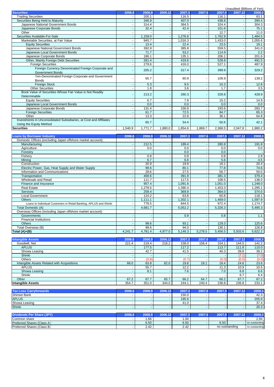|                                                                    |         |         |         |         |         |         | Unaudited (Billions of Yen) |         |
|--------------------------------------------------------------------|---------|---------|---------|---------|---------|---------|-----------------------------|---------|
| <b>Securities</b>                                                  | 2006.6  | 2006.9  | 2006.12 | 2007.3  | 2007.6  | 2007.9  | 2007.12                     | 2008.3  |
| <b>Trading Securities</b>                                          |         | 200.1   |         | 116.5   |         | 116.1   |                             | 63.1    |
| Securities Being Held to Maturity                                  |         | 346.9   |         | 407.0   |         | 438.8   |                             | 390.4   |
| Japanese National Government Bonds                                 |         | 314.4   |         | 364.5   |         | 324.4   |                             | 304.3   |
| Japanese Corporate Bonds                                           |         | 32.4    |         | 42.4    |         | 101.6   |                             | 75.1    |
| Other                                                              |         |         |         |         |         | 12.7    |                             | 11.0    |
| Securities Available-For-Sale                                      |         | 1,159.0 |         | 1,276.6 |         | 1,762.9 |                             | 1,484.5 |
| Marketable Securities, at Fair Value                               |         | 945.7   |         | 1,016.3 |         | 1,433.0 |                             | 1,055.6 |
| <b>Equity Securities</b>                                           |         | 13.4    |         | 22.4    |         | 23.5    |                             | 19.1    |
| Japanese National Government Bonds                                 |         | 392.9   |         | 385.8   |         | 559.5   |                             | 341.0   |
| Japanese Local Government Bonds                                    |         | 71.7    |         | 53.2    |         | 114.9   |                             | 2.2     |
| Japanese Corporate Bonds                                           |         | 186.1   |         | 135.1   |         | 206.1   |                             | 201.6   |
| Other, Mainly Foreign Debt Securities                              |         | 281.4   |         | 419.6   |         | 528.8   |                             | 491.5   |
| <b>Foreign Securities</b>                                          |         | 279.6   |         | 416.0   |         | 527.1   |                             | 487.9   |
| Foreign Currency Denominated Foreign Corporate and                 |         | 205.2   |         | 317.4   |         | 399.9   |                             | 329.2   |
| <b>Government Bonds</b>                                            |         |         |         |         |         |         |                             |         |
| Yen-Denominated Foreign Corporate and Government                   |         | 65.7    |         | 80.9    |         | 109.9   |                             | 139.2   |
| <b>Bonds</b>                                                       |         |         |         |         |         |         |                             |         |
| <b>Foreign Stock</b>                                               |         | 5.3     |         | 9.5     |         | 10.3    |                             | 12.8    |
| <b>Other Securities</b>                                            |         | 1.8     |         | 3.6     |         | 1.7     |                             | 3.5     |
| Book Value of Securities Whose Fair Value is Not Readily           |         | 213.2   |         | 260.3   |         | 329.8   |                             | 428.9   |
| Determinable                                                       |         |         |         |         |         |         |                             |         |
| <b>Equity Securities</b>                                           |         | 6.7     |         | 7.9     |         | 15.2    |                             | 14.9    |
| Japanese Local Government Bonds                                    |         | 0.0     |         | 0.0     |         | 0.0     |                             | 0.0     |
| Japanese Corporate Bonds                                           |         | 131.4   |         | 156.9   |         | 193.6   |                             | 283.7   |
| <b>Foreign Securities</b>                                          |         | 61.7    |         | 72.5    |         | 84.7    |                             | 65.3    |
| Other                                                              |         | 13.3    |         | 22.8    |         | 36.1    |                             | 64.8    |
| Investments in Unconsolidated Subsidiaries, at Cost and Affiliates |         | 65.7    |         | 54.4    |         | 50.6    |                             | 42.1    |
| Using the Equity Method                                            |         |         |         |         |         |         |                             |         |
| <b>Securities</b>                                                  | 1.540.9 | 1.771.7 | 1.880.0 | 1.854.6 | 1.869.7 | 2.368.5 | 2.047.8                     | .980.2  |
|                                                                    |         |         |         |         |         |         |                             |         |
|                                                                    |         |         |         |         |         |         |                             |         |

| <b>Loans by Borrower Industry</b>                                 | 2006.6  | 2006.9  | 2006.12 | 2007.3  | 2007.6  | 2007.9  | 2007.12                  | 2008.3  |
|-------------------------------------------------------------------|---------|---------|---------|---------|---------|---------|--------------------------|---------|
| Domestic Offices (excluding Japan offshore market account):       |         |         |         |         |         |         |                          |         |
| Manufacturing                                                     |         | 212.5   |         | 189.4   |         | 280.8   | $\blacksquare$           | 191.8   |
| Agriculture                                                       |         | 0.0     |         | 0.0     |         | 0.0     | ٠                        | 0.0     |
| Forestry                                                          |         |         |         | 0.0     |         | 0.0     |                          |         |
| Fisherv                                                           |         | 0.9     |         | 0.9     |         | 0.8     |                          | 2.9     |
| Mining                                                            |         | 6.7     |         | 6.6     |         | 5.6     |                          | 4.5     |
| Construction                                                      |         | 20.9    |         | 19.9    |         | 16.1    |                          | 20.4    |
| Electric Power, Gas, Heat Supply and Water Supply                 |         | 99.6    |         | 80.1    |         | 77.8    |                          | 74.6    |
| Information and Communications                                    |         | 28.6    |         | 27.5    |         | 56.7    |                          | 50.0    |
| Transportation                                                    |         | 469.6   |         | 391.9   |         | 381.3   |                          | 379.4   |
| <b>Wholesale and Retail</b>                                       |         | 111.7   |         | 117.5   |         | 108.5   |                          | 138.0   |
| Finance and Insurance                                             |         | 957.4   |         | 0.091.6 |         | 0.051.0 |                          | ,248.0  |
| <b>Real Estate</b>                                                |         | ,278.5  |         | ,390.4  |         | 1,453.3 |                          | ,295.1  |
| <b>Services</b>                                                   |         | 259.4   |         | 369.9   |         | 364.0   |                          | 374.0   |
| Local Government                                                  |         | 124.2   |         | 63.8    |         | 60.8    |                          | 118.1   |
| <b>Others</b>                                                     |         | 1,111.1 |         | ,302.1  |         | ,469.0  |                          | .597.9  |
| Loans to Individual Customers in Retail Banking, APLUS and Shinki |         | 778.5   |         | 844.5   |         | 972.4   | $\overline{\phantom{a}}$ | 1,174.7 |
| Total Domestic (A)                                                |         | 4,681.7 |         | 5,052.2 |         | 5,326.3 |                          | 5,495.3 |
| Overseas Offices (including Japan offshore market account):       |         |         |         |         |         |         |                          |         |
| Governments                                                       |         |         |         | 0.9     |         | 0.8     | ٠                        | 1.1     |
| <b>Financial Institutions</b>                                     |         |         |         |         |         |         |                          |         |
| <b>Others</b>                                                     |         | 99.6    |         | 93.1    |         | 129.3   |                          | 125.6   |
| Total Overseas (B)                                                |         | 99.6    |         | 94.0    |         | 130.1   |                          | 126.8   |
| Total $(A)+(B)$                                                   | 4.241.7 | 4,781.4 | 4,977.0 | 5,146.3 | 5,278.5 | 5,456.5 | 5,503.6                  | 5,622.2 |

| <b>Intangible Assets</b>                    | 2006.6 | 2006.9 | 2006.12 | 2007.3      | 2007.6 | 2007.9 | 2007.12 | 2008.3 |
|---------------------------------------------|--------|--------|---------|-------------|--------|--------|---------|--------|
| Goodwill, Net                               | 221.4  | 219.4  | 216.2   | 158.0       | 156.4  | 154.1  | 144.5   | 142.2  |
| <b>APLUS</b>                                |        | 177.5  |         | 117.2       |        | 113.7  | 111.8   | 110.0  |
| Showa Leasing                               |        | 42.7   |         | 41.5        |        | 40.3   | 39.8    | 39.2   |
| Shinki                                      |        |        |         |             |        |        | (7.1)   | (7.0)  |
| Others                                      |        | (0.8)  |         | (0.7)       |        | (0.0)  | (0.0)   | (0.0)  |
| Intangible Assets Related with Acquisitions | 66.0   | 63.8   | 62.0    | 19.8        | 19.1   | 18.4   | 24.6    | 23.6   |
| <b>APLUS</b>                                |        | 55.7   |         | 12.2        |        | 11.3   | 10.9    | 10.5   |
| Showa Leasing                               |        | 8.1    |         | 7.6         |        | 7.0    | 6.8     | 6.6    |
| Shinki                                      |        |        |         |             |        |        | 6.7     | 6.4    |
| Other                                       | 67.2   | 67.7   | 65.7    | 66.2        | 64.7   | 66.2   | 67.7    | 67.2   |
| <b>Intangible Assets</b>                    | 354.7  | 351.0  | 344.0   | 244.1       | 240.4  | 238.8  | 236.8   | 233.1  |
|                                             |        |        |         |             |        |        |         |        |
| <b>Tax Loss Carryforwards</b>               | 2006.6 | 2006.9 | 2006.12 | 2007.3      | 2007.6 | 2007.9 | 2007.12 | 2008.3 |
| $\sim$ $\sim$ $\sim$ $\sim$ $\sim$          |        |        |         | $1 - 2 - 2$ |        |        |         | $\sim$ |

| Shinsei Bank               |        |        |         | 150.0 |        |        |         | 42.3             |
|----------------------------|--------|--------|---------|-------|--------|--------|---------|------------------|
| <b>APLUS</b>               |        |        |         | 195.6 |        |        |         | 205.9            |
| Showa Leasing              |        |        |         | 41.0  |        |        |         | 37.4             |
| Shinki                     |        |        |         |       |        |        |         | 20.3             |
|                            |        |        |         |       |        |        |         |                  |
|                            |        |        |         |       |        |        |         |                  |
| Dividends Per Share (JPY)  | 2006.6 | 2006.9 | 2006.12 | 2007  | 2007.6 | 2007.9 | 2007.12 | 2008.3           |
| Common share               |        | 1.66   |         | 1.00  |        |        |         | 2.94             |
| Preferred Shares (Class A) |        | 6.50   |         | 6.50  |        | 6.50   |         | - no outstanding |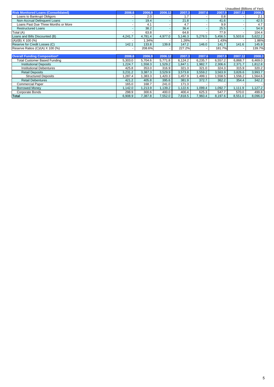|                                            |                          |         |         |         |         |         | Unaudited (Billions of Yen) |         |
|--------------------------------------------|--------------------------|---------|---------|---------|---------|---------|-----------------------------|---------|
| <b>Risk Monitored Loans (Consolidated)</b> | 2006.6                   | 2006.9  | 2006.12 | 2007.3  | 2007.6  | 2007.9  | 2007.12                     | 2008.3  |
| Loans to Bankrupt Obligors                 |                          | 2.0     |         | 1.7     |         | 0.8     |                             | 2.1     |
| Non-Accrual Delinquent Loans               | $\sim$                   | 19.4    |         | 21.8    |         | 41.6    | <b>1</b>                    | 42.5    |
| Loans Past Due Three Months or More        | $\overline{\phantom{0}}$ | 4.1     |         | 4.7     |         | 9.9     |                             | 4.7     |
| <b>Restructured Loans</b>                  |                          | 38.2    |         | 36.4    |         | 25.5    |                             | 54.9    |
| Total (A)                                  |                          | 63.8    |         | 64.8    |         | 77.9    |                             | 104.4   |
| Loans and Bills Discounted (B)             | 4,241.7                  | 4,781.4 | 4,977.0 | 5,146.3 | 5,278.5 | 5,456.5 | 5,503.6                     | 5,622.2 |
| $(A)/(B)$ X 100 $(\%)$                     |                          | 1.34%   |         | .26%    |         | 1.43%   |                             | 1.86%   |
| Reserve for Credit Losses (C)              | 142.1                    | 133.8   | 139.8   | 147.2   | 146.0   | 141.7   | 141.6                       | 145.9   |
| Reserve Ratios (C)/(A) X 100 (%)           |                          | 208.6%  |         | 227.2%  |         | 181.7%  |                             | 139.7%  |
|                                            |                          |         |         |         |         |         |                             |         |
| <b>Overall Funding Composition*</b>        | 2006.6                   | 2006.9  | 2006.12 | 2007.3  | 2007.6  | 2007.9  | 2007.12                     | 2008.3  |
| <b>Total Customer Based Funding</b>        | 5,303.0                  | 5,704.6 | 5,771.8 | 6,124.2 | 6,235.7 | 6,557.2 | 6,868.7                     | 6,469.0 |
| <b>Institutional Deposits</b>              | 1,224.7                  | 1,558.3 | 1,529.2 | 1,847.1 | 1,982.7 | 2,306.6 | 2,371.7                     | 1,812.8 |
| <b>Institutional Debentures</b>            | 425.8                    | 353.0   | 316.9   | 321.3   | 321.0   | 324.3   | 315.9                       | 320.2   |
| <b>Retail Deposits</b>                     | 3,231.2                  | 3,387.3 | 3,529.9 | 3,573.8 | 3,559.2 | 3,563.9 | 3,826.6                     | 3,993.7 |
| <b>Structured Deposits</b>                 | 1,287.4                  | 1,383.3 | 1.420.3 | 1,457.9 | 1,499.1 | .558.5  | 1,556.2                     | 1,564.6 |
| <b>Retail Debentures</b>                   | 421.2                    | 405.8   | 395.6   | 381.9   | 372.7   | 362.2   | 354.4                       | 342.2   |
| <b>Commercial Paper</b>                    | 165.0                    | 168.7   | 241.0   | 171.3   |         |         |                             |         |
| <b>Borrowed Money</b>                      | .142.0                   | 1,213.9 | 1,139.2 | 1,122.6 | 1,099.4 | 1,092.7 | 1,111.9                     | 1,127.2 |
| Corporate Bonds                            | 298.9                    | 300.6   | 400.0   | 400.4   | 625.3   | 547.7   | 570.0                       | 499.8   |
| Total                                      | 6,908.9                  | 7,387.8 | 7,552.0 | 7,818.5 | 7,960.4 | 8,197.6 | 8,551.0                     | 8,096.0 |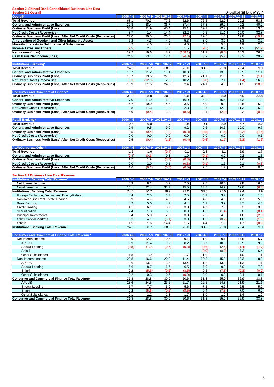#### **Section 2. Shinsei Bank Consolidated Business Line Data**

| <b>Section 2.1 Overall</b>                                                                                  |              |               |                     |              |              |              | Unaudited (Billions of Yen) |                |
|-------------------------------------------------------------------------------------------------------------|--------------|---------------|---------------------|--------------|--------------|--------------|-----------------------------|----------------|
| Overall*                                                                                                    | 2006.4-6     |               | 2006.7-9 2006.10-12 | 2007.1-3     | 2007.4-6     |              | 2007.7-9 2007.10-12         | $2008.1 - 3$   |
| <b>Total Revenue</b>                                                                                        | 68.1         | 70.3          | 77.2                | 52.6         | 76.5         | 62.2         | 70.2                        | 53.8           |
| <b>General and Administrative Expenses</b>                                                                  | 37.3         | 38.4          | 36.7                | 37.4         | 37.3         | 39.9         | 40.2                        | 40.2           |
| <b>Ordinary Business Profit (Loss)</b>                                                                      | 30.8         | 31.9          | 40.4                | 15.1<br>32.2 | 39.1         | 22.2         | 29.9                        | 13.6           |
| <b>Net Credit Costs (Recoveries)</b><br>Ordinary Business Profit (Loss) After Net Credit Costs (Recoveries) | 3.7<br>27.0  | $1.4$<br>30.5 | 14.4<br>26.0        | (17.1)       | 9.5<br>29.6  | 21.1<br>1.0  | 10.0<br>19.8                | 32.8<br>(19.1) |
| Amortization of Goodwill and Other Intangible Assets                                                        | 6.2          | 4.3           | 4.9                 | 5.3          | 3.0          | 3.0          | 3.3                         | 3.0            |
| Minority Interests in Net Income of Subsidiaries                                                            | 4.2          | 4.0           | 4.2                 | 4.0          | 4.8          | 5.8          | 4.9                         | 2.4            |
| <b>Income Taxes and Others</b>                                                                              | (2.5)        | 2.4           | 8.5                 | 81.5         | (9.5)        | 0.2          | 1.2                         | (51.2)         |
| Net Income (Loss)                                                                                           | 19.2         | 19.6          | 8.2                 | (108.1)      | 31.2         | (8.0)        | 10.3                        | 26.5           |
| <b>Cash Basis Net Income (Loss)</b>                                                                         | 24.5         | 23.1          | 12.4                | (24.8)       | 33.9         | (5.2)        | 13.2                        | 29.2           |
|                                                                                                             |              |               |                     |              |              |              |                             |                |
| <b>Institutional Banking*</b>                                                                               | 2006.4-6     | 2006.7-9      | 2006.10-12          | 2007.1-3     | 2007.4-6     |              | 2007.7-9 2007.10-12         | 2008.1-3       |
| <b>Total Revenue</b><br><b>General and Administrative Expenses</b>                                          | 24.5<br>10.7 | 30.7<br>11.2  | 38.9<br>11.1        | 23.0<br>10.3 | 33.6<br>12.5 | 25.0<br>13.3 | 22.4<br>12.5                | 9.9<br>11.1    |
| <b>Ordinary Business Profit (Loss)</b>                                                                      | 13.7         | 19.5          | 27.8                | 12.6         | 21.1         | 11.6         | 9.9                         | (1.1)          |
| <b>Net Credit Costs (Recoveries)</b>                                                                        | (5.1)        | (12.0)        | 2.9                 | 10.2         | (3.0)        | 7.1          | (1.4)                       | 16.9           |
| Ordinary Business Profit (Loss) After Net Credit Costs (Recoveries)                                         | 18.9         | 31.5          | 24.8                | 2.4          | 24.1         | 4.5          | 11.3                        | (18.0)         |
|                                                                                                             |              |               |                     |              |              |              |                             |                |
| <b>Consumer and Commercial Finance*</b>                                                                     | 2006.4-6     | 2006.7-9      | 2006.10-12          | 2007.1-3     | 2007.4-6     | 2007.7-9     | 2007.10-12                  | 2008.1-3       |
| <b>Total Revenue</b>                                                                                        | 31.8         | 28.8          | 30.9                | 20.6         | 31.3         | 25.0         | 36.9                        | 33.8           |
| <b>General and Administrative Expenses</b><br><b>Ordinary Business Profit (Loss)</b>                        | 17.0         | 17.9          | 16.2                | 16.9         | 15.3         | 15.6         | 17.3                        | 17.9<br>15.9   |
| <b>Net Credit Costs (Recoveries)</b>                                                                        | 14.7<br>8.8  | 10.9<br>11.3  | 14.6<br>11.3        | 3.6<br>22.3  | 16.0<br>12.5 | 9.3<br>12.3  | 19.6<br>11.3                | 16.0           |
| Ordinary Business Profit (Loss) After Net Credit Costs (Recoveries)                                         | 5.9          | (0.4)         | 3.3                 | (18.6)       | 3.4          | (2.9)        | 8.2                         | (0.0)          |
|                                                                                                             |              |               |                     |              |              |              |                             |                |
| <b>Retail Banking</b>                                                                                       | 2006.4-6     | 2006.7-9      | 2006.10-12          | 2007.1-3     | 2007.4-6     |              | 2007.7-9 2007.10-12         | 2008.1-3       |
| <b>Total Revenue</b>                                                                                        | 10.5         | 9.0           | 7.7                 | 8.8          | 9.1          | 8.9          | 7.7                         | 8.2            |
| <b>General and Administrative Expenses</b>                                                                  | 9.9          | 9.5           | 9.0                 | 9.2          | 9.6          | 10.6         | 10.0                        | 9.7            |
| <b>Ordinary Business Profit (Loss)</b>                                                                      | 0.5          | (0.4)         | (1.2)               | (0.3)        | (0.5)        | (1.6)        | (2.2)                       | (1.5)          |
| <b>Net Credit Costs (Recoveries)</b><br>Ordinary Business Profit (Loss) After Net Credit Costs (Recoveries) | 0.0<br>0.5   | 0.0<br>(0.4)  | 0.0<br>(1.2)        | 0.0<br>(0.4) | 0.0<br>(0.5) | 0.0<br>(1.7) | 0.0<br>(2.3)                | 0.1            |
|                                                                                                             |              |               |                     |              |              |              |                             | (1.6)          |
| ALM/Corporate/Other*                                                                                        | 2006.4-6     |               | 2006.7-9 2006.10-12 | 2007.1-3     | 2007.4-6     |              | 2007.7-9 2007.10-12         | $2008.1 - 3$   |
| <b>Total Revenue</b>                                                                                        | 1.2          | 1.6           | (0.4)               | 0.1          | 2.3          | 3.1          | 2.9                         | 1.7            |
| <b>General and Administrative Expenses</b>                                                                  | (0.4)        | (0.3)         | 0.3                 | 1.0          | (0.1)        | 0.2          | 0.2                         | 1.3            |
| <b>Ordinary Business Profit (Loss)</b>                                                                      | 1.7          | 1.9           | (0.7)               | (0.8)        | 2.4          | 2.8          | 2.6                         | 0.3            |
| <b>Net Credit Costs (Recoveries)</b>                                                                        | 0.0          | 2.0           | 0.1                 | (0.3)        | (0.1)        | 1.6          | 0.1                         | (0.3)          |
| Ordinary Business Profit (Loss) After Net Credit Costs (Recoveries)                                         | 1.6          | (0.1)         | (0.8)               | (0.5)        | 2.5          | 1.2          | 2.5                         | 0.6            |
| <b>Section 2.2 Business Line Total Revenue</b>                                                              |              |               |                     |              |              |              |                             |                |
| <b>Institutional Banking Total Revenue*</b>                                                                 | 2006.4-6     |               | 2006.7-9 2006.10-12 | 2007.1-3     | 2007.4-6     | 2007.7-9     | 2007.10-12                  | 2008.1-3       |
| Net Interest Income                                                                                         | 8.3          | 8.2           | 5.2                 | 7.5          | 9.8          | 10.0         | 9.8                         | 16.6           |
| Non-Interest Income                                                                                         | 16.1         | 22.4          | 33.7                | 15.5         | 23.8         | 14.9         | 12.6                        | (6.6)          |
| <b>Institutional Banking Total Revenue</b>                                                                  | 24.5         | 30.7          | 38.9                | 23.0         | 33.6         | 25.0         | 22.4                        | 9.9            |
| Foreign Exchange, Derivatives, Equity-Related                                                               | 4.4          | 2.5           | 3.3                 | 2.5          | 5.1          | 3.2          | 2.6                         | 1.5            |
| Non-Recourse Real Estate Finance<br><b>Basic Banking</b>                                                    | 3.9<br>4.2   | 4.7<br>5.0    | 4.6<br>4.7          | 4.5<br>4.4   | 4.8<br>4.1   | 4.6<br>3.9   | 4.7<br>3.7                  | 5.0<br>4.5     |
| <b>Credit Trading</b>                                                                                       | 4.1          | 6.1           | 3.7                 | 3.0          | 4.7          | 7.9          | 5.3                         | 3.9            |
| Securitization                                                                                              | 2.4          | 1.3           | 6.5                 | 0.9          | 1.5          | (1.4)        | 0.8                         | (0.4)          |
| <b>Principal Investments</b>                                                                                | 3.4          | 5.0           | 2.5                 | 3.0          | 7.3          | 4.8          | 1.6                         | (2.3)          |
| <b>Other Capital Markets</b>                                                                                | 0.2          | 4.1           | (1.1)               | 3.0          | 1.3          | (0.2)        | 1.6                         | (1.6)          |
| Others                                                                                                      | 1.5          | 1.6           | 14.4                | 1.5          | 4.4          | 1.9          | 1.7                         | (0.6)          |
| <b>Institutional Banking Total Revenue</b>                                                                  | 24.5         | 30.7          | 38.9                | 23.0         | 33.6         | 25.0         | 22.4                        | 9.9            |
| <b>Consumer and Commercial Finance Total Revenue*</b>                                                       | 2006.4-6     | 2006.7-9      | 2006.10-12          | 2007.1-3     | 2007.4-6     | 2007.7-9     | 2007.10-12                  | 2008.1-3       |
| Net Interest Income                                                                                         | 10.9         | 12.2          | 10.6                | 9.1          | 11.0         | 9.1          | 17.5                        | 15.7           |
| <b>APLUS</b>                                                                                                | 9.9          | 11.4          | 9.7                 | 8.2          | 10.7         | 10.5         | 10.5                        | 9.9            |
| Showa Leasing                                                                                               | (0.8)        | (1.0)         | (0.7)               | (0.8)        | (0.6)        | (2.4)        | (1.4)                       | (1.7)          |
| Shinki                                                                                                      |              |               |                     |              | (0.0)        | (0.0)        | 7.3                         | 6.4            |
| <b>Other Subsidiaries</b>                                                                                   | 1.8          | 1.9           | 1.6                 | 1.7          | 1.0          | 1.0          | 1.0                         | 1.1            |
| Non-Interest Income                                                                                         | 20.8         | 16.6          | 20.2                | 11.4<br>13.4 | 20.3<br>11.8 | 15.9         | 19.3<br>11.3                | 18.0           |
| <b>APLUS</b><br>Showa Leasing                                                                               | 13.6<br>6.6  | 13.1<br>8.7   | 13.5<br>6.7         | 6.5          | 7.9          | 13.8<br>9.2  | 7.9                         | 11.1<br>7.0    |
| Shinki                                                                                                      | 0.2          | (5.6)         | (0.6)               | (8.5)        | 0.5          | (7.3)        | (0.3)                       | (0.2)          |
| <b>Other Subsidiaries</b>                                                                                   | 0.2          | 0.3           | 0.7                 | (0.0)        | 0.0          | 0.2          | 0.4                         | 0.1            |
| <b>Consumer and Commercial Finance Total Revenue</b>                                                        | 31.8         | 28.8          | 30.9                | 20.6         | 31.3         | 25.0         | 36.9                        | 33.8           |
| <b>APLUS</b>                                                                                                | 23.6         | 24.5          | 23.2                | 21.7         | 22.5         | 24.3         | 21.9                        | 21.1           |
| Showa Leasing                                                                                               | 5.7          | 7.7           | 5.9                 | 5.6          | 7.2          | 6.7          | 6.5                         | 5.2            |
| Shinki                                                                                                      | 0.2          | (5.6)         | (0.6)               | (8.5)        | 0.4          | (7.3)        | 7.0                         | 6.2            |
| Other Subsidiaries<br><b>Consumer and Commercial Finance Total Revenue</b>                                  | 2.1<br>31.8  | 2.2<br>28.8   | 2.3<br>30.9         | 1.7<br>20.6  | 1.0<br>31.3  | 1.2<br>25.0  | 1.4<br>36.9                 | 1.2<br>33.8    |
|                                                                                                             |              |               |                     |              |              |              |                             |                |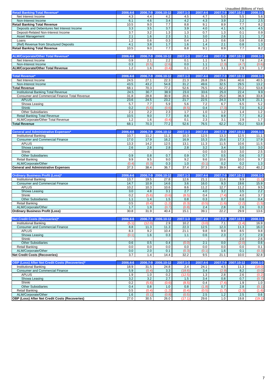|                                                                       |          |              |            |              |          |          | Unaudited (Billions of Yen) |                  |
|-----------------------------------------------------------------------|----------|--------------|------------|--------------|----------|----------|-----------------------------|------------------|
| <b>Retail Banking Total Revenue*</b>                                  | 2006.4-6 | 2006.7-9     | 2006.10-12 | 2007.1-3     | 2007.4-6 | 2007.7-9 | 2007.10-12                  | 2008.1-3         |
| Net Interest Income                                                   | 4.3      | 4.4          | 4.2        | 4.5          | 4.7      | 5.0      | 5.5                         | 5.6              |
| Non-Interest Income                                                   | 6.1      | 4.6          | 3.4        | 4.2          | 4.3      | 3.9      | 2.2                         | 2.5              |
| <b>Retail Banking Total Revenue</b>                                   | 10.5     | 9.0          | 7.7        | 8.8          | 9.1      | 8.9      | 7.7                         | 8.2              |
| Deposits and Debentures Net Interest Income                           | 3.3      | 3.5          | 3.7        | 3.9          | 4.0      | 4.1      | 4.5                         | 4.5              |
| Deposit-Related Non-Interest Income                                   | 3.7      | 3.2          | 1.3        | 1.3          | 0.7      | 1.3      | 0.1                         | 0.9              |
| <b>Asset Management</b>                                               | 2.1      | 1.6          | 2.3        | 3.1          | 3.0      | 2.6      | 2.1                         | 1.7              |
| Loans                                                                 | 1.2      | 0.6          | 0.3        | 0.4          | 1.3      | 0.6      | 0.8                         | 0.8              |
| (Ref) Revenue from Structured Deposits                                | 4.1      | 3.8          | 1.7        | 1.6          | 1.4      | 2.1      | 0.8                         | 1.3              |
| <b>Retail Banking Total Revenue</b>                                   | 10.5     | 9.0          | 7.7        | 8.8          | 9.1      | 8.9      | 7.7                         | 8.2              |
|                                                                       |          |              |            |              |          |          |                             |                  |
| ALM/Corporate/Other Total Revenue*                                    | 2006.4-6 | 2006.7-9     | 2006.10-12 | 2007.1-3     | 2007.4-6 | 2007.7-9 | 2007.10-12                  | 2008.1-3         |
| Net Interest Income                                                   | 0.9      | 2.1          | 2.2        | 0.1          | 1.1      | 5.4      | 7.6                         | 2.4              |
| Non-Interest Income                                                   | 0.3      | (0.5)        | (2.6)      | 0.0          | 1.1      | (2.3)    | (4.7)                       | (0.6)            |
| <b>ALM/Corporate/Other Total Revenue</b>                              | 1.2      | 1.6          | (0.4)      | 0.1          | 2.3      | 3.1      | 2.9                         | 1.7              |
|                                                                       |          |              |            |              |          |          |                             |                  |
| <b>Total Revenue*</b>                                                 | 2006.4-6 | 2006.7-9     | 2006.10-12 | $2007.1 - 3$ | 2007.4-6 |          | 2007.7-9 2007.10-12         | $2008.1 - 3$     |
| Net Interest Income                                                   | 24.5     | 27.1         | 22.3       | 21.3         | 26.8     | 29.6     | 40.6                        | 40.5             |
| Non-Interest Income                                                   | 43.5     | 43.2         | 54.8       | 31.2         | 49.6     | 32.5     | 29.5                        | 13.2             |
| <b>Total Revenue</b>                                                  | 68.1     | 70.3         | 77.2       | 52.6         | 76.5     | 62.2     | 70.2                        | 53.8             |
| <b>Institutional Banking Total Revenue</b>                            | 24.5     | 30.7         | 38.9       | 23.0         | 33.6     | 25.0     | 22.4                        | 9.9              |
| <b>Consumer and Commercial Finance Total Revenue</b>                  | 31.8     | 28.8         | 30.9       | 20.6         | 31.3     | 25.0     | 36.9                        | 33.8             |
| <b>APLUS</b>                                                          | 23.6     | 24.5         | 23.2       | 21.7         | 22.5     | 24.3     | 21.9                        | 21.1             |
| Showa Leasing                                                         | 5.7      | 7.7          | 5.9        | 5.6          | 7.2      | 6.7      | 6.5                         | $5.2\,$          |
| Shinki                                                                | 0.2      | (5.6)        | (0.6)      | (8.5)        | 0.4      | (7.3)    | 7.0                         | 6.2              |
| <b>Other Subsidiaries</b>                                             | 2.1      | 2.2          | 2.3        | 1.7          | 1.0      | 1.2      | 1.4                         | 1.2              |
| <b>Retail Banking Total Revenue</b>                                   | 10.5     | 9.0          | 7.7        | 8.8          | 9.1      | 8.9      | 7.7                         | 8.2              |
| ALM/Corporate/Other Total Revenue                                     | 1.2      | 1.6          | (0.4)      | 0.1          | 2.3      | 3.1      | 2.9                         | 1.7              |
| <b>Total Revenue</b>                                                  | 68.1     | 70.3         | 77.2       | 52.6         | 76.5     | 62.2     | 70.2                        | 53.8             |
|                                                                       |          |              |            |              |          |          |                             |                  |
| <b>General and Administrative Expenses*</b>                           | 2006.4-6 | 2006.7-9     | 2006.10-12 | 2007.1-3     | 2007.4-6 | 2007.7-9 | 2007.10-12                  | 2008.1-3         |
| <b>Institutional Banking</b>                                          | 10.7     | 11.2         | 11.1       | 10.3         | 12.5     | 13.3     | 12.5                        | 11.1             |
| <b>Consumer and Commercial Finance</b>                                | 17.0     | 17.9         | 16.2       | 16.9         | 15.3     | 15.6     | 17.3                        | 17.9             |
| <b>APLUS</b>                                                          | 13.3     | 14.2         | 12.5       | 13.1         | 11.3     | 11.5     | 10.6                        | 11.5             |
| Showa Leasing                                                         | 2.6      | 2.8          | 2.8        | 2.8          | 3.2      | 3.4      | 3.0                         | 3.0              |
| Shinki                                                                |          |              |            |              | 0.0      | 0.0      | 3.0                         | 2.5              |
| <b>Other Subsidiaries</b>                                             | 0.9      | 0.8          | 0.7        | 0.9          | 0.7      | 0.5      | 0.6                         | 0.7              |
| <b>Retail Banking</b>                                                 | 9.9      | 9.5          | 9.0        | 9.2          | 9.6      | 10.6     | 10.0                        | 9.7              |
| ALM/Corporate/Other                                                   | (0.4)    | (0.3)        | 0.3        | 1.0          | (0.1)    | 0.2      | 0.2                         | 1.3              |
| <b>General and Administrative Expenses</b>                            | 37.3     | 38.4         | 36.7       | 37.4         | 37.3     | 39.9     | 40.2                        | 40.2             |
|                                                                       |          |              |            |              |          |          |                             |                  |
| <b>Ordinary Business Profit (Loss)*</b>                               | 2006.4-6 | 2006.7-9     | 2006.10-12 | 2007.1-3     | 2007.4-6 |          | 2007.7-9 2007.10-12         | $2008.1 - 3$     |
| Institutional Banking                                                 | 13.7     | 19.5         | 27.8       | 12.6         | 21.1     | 11.6     | 9.9                         | (1.1)            |
| <b>Consumer and Commercial Finance</b>                                | 14.7     | 10.9         | 14.6       | 3.6          | 16.0     | 9.3      | 19.6                        | 15.9             |
| <b>APLUS</b>                                                          | 10.2     | 10.3         | 10.6       | 8.6          | 11.2     | 12.7     | 11.2                        | 9.5              |
| Showa Leasing                                                         | 3.0      | 4.8          | 3.1        | 2.7          | 4.0      | 3.2      | 3.5                         | 2.2              |
| Shinki                                                                | 0.2      | (5.6)        | (0.6)      | (8.5)        | 0.4      | (7.4)    | 4.0                         | $\overline{3.7}$ |
| <b>Other Subsidiaries</b>                                             | 1.1      | 1.4          | 1.5        | 0.8          | 0.3      | 0.7      | 0.8                         | 0.4              |
| <b>Retail Banking</b>                                                 | 0.5      | (0.4)        | (1.2)      | (0.3)        | (0.5)    | (1.6)    | (2.2)                       | (1.5)            |
| ALM/Corporate/Other                                                   | 1.7      | 1.9          | (0.7)      | (0.8)        | 2.4      | 2.8      | 2.6                         | 0.3              |
| <b>Ordinary Business Profit (Loss)</b>                                | 30.8     | 31.9         | 40.4       | 15.1         | 39.1     | 22.2     | 29.9                        | 13.6             |
|                                                                       |          |              |            |              |          |          |                             |                  |
| <b>Net Credit Costs (Recoveries)*</b>                                 | 2006.4-6 | $2006.7 - 9$ | 2006.10-12 | 2007.1-3     | 2007.4-6 |          | 2007.7-9 2007.10-12         | 2008.1-3         |
| <b>Institutional Banking</b>                                          | (5.1)    | (12.0)       | 2.9        | 10.2         | (3.0)    | 7.1      | (1.4)                       | 16.9             |
| <b>Consumer and Commercial Finance</b>                                | 8.8      | 11.3         | 11.3       | 22.3         | 12.5     | 12.3     | 11.3                        | 16.0             |
| <b>APLUS</b>                                                          |          |              |            |              |          |          |                             | 9.8              |
|                                                                       | 8.3      | 9.2          | 10.4       | 21.1         | 9.8      | 9.9      | 8.5                         |                  |
| Showa Leasing                                                         | (0.1)    | 1.6          | 0.3        | $1.1$        | 0.6      | 2.3      | 2.7                         | 2.9              |
| Shinki                                                                |          |              |            |              |          |          | 2.0                         | 2.6              |
| <b>Other Subsidiaries</b>                                             | 0.6      | 0.5          | 0.4        | (0.0)        | 2.1      | 0.0      | (2.0)                       | 0.6              |
| <b>Retail Banking</b>                                                 | 0.0      | 0.0          | 0.0        | 0.0          | 0.0      | 0.0      | 0.0                         | 0.1              |
| ALM/Corporate/Other                                                   | 0.0      | 2.0          | 0.1        | (0.3)        | (0.1)    | 1.6      | 0.1                         | (0.3)            |
| <b>Net Credit Costs (Recoveries)</b>                                  | 3.7      | 1.4          | 14.4       | 32.2         | 9.5      | 21.1     | 10.0                        | 32.8             |
|                                                                       |          |              |            |              |          |          |                             |                  |
| OBP (Loss) After Net Credit Costs (Recoveries)*                       | 2006.4-6 | 2006.7-9     | 2006.10-12 | 2007.1-3     | 2007.4-6 | 2007.7-9 | 2007.10-12                  | 2008.1-3         |
| <b>Institutional Banking</b>                                          | 18.9     | 31.5         | 24.8       | 2.4          | 24.1     | 4.5      | 11.3                        | (18.0)           |
| <b>Consumer and Commercial Finance</b>                                | 5.9      | (0.4)        | 3.3        | (18.6)       | 3.4      | (2.9)    | 8.2                         | (0.0)            |
| <b>APLUS</b>                                                          | 1.9      | 1.0          | 0.2        | (12.5)       | 1.3      | 2.8      | 2.6                         | (0.2)            |
| Showa Leasing                                                         | 3.2      | 3.2          | 2.7        | 1.5          | 3.4      | 0.8      | 0.7                         | (0.7)            |
| Shinki                                                                | 0.2      | (5.6)        | (0.6)      | (8.5)        | 0.4      | (7.4)    | 1.9                         | 1.0              |
| <b>Other Subsidiaries</b>                                             | 0.4      | 0.8          | 1.0        | 0.8          | (1.8)    | 0.7      | 2.8                         | (0.1)            |
| <b>Retail Banking</b>                                                 | 0.5      | (0.4)        | (1.2)      | (0.4)        | (0.5)    | (1.7)    | (2.3)                       | (1.6)            |
| ALM/Corporate/Other<br>OBP (Loss) After Net Credit Costs (Recoveries) | 1.6      | (0.1)        | (0.8)      | (0.5)        | 2.5      | $1.2$    | 2.5                         | 0.6              |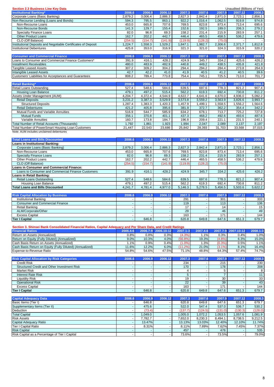| <b>Section 2.3 Business Line Key Data</b>                                                                                                 |                  |                    |                  |                    |                          |                    | Unaudited (Billions of Yen) |                    |
|-------------------------------------------------------------------------------------------------------------------------------------------|------------------|--------------------|------------------|--------------------|--------------------------|--------------------|-----------------------------|--------------------|
| <b>Institutional Banking*</b>                                                                                                             | 2006.6           | 2006.9             | 2006.12          | 2007.3             | 2007.6                   | 2007.9             | 2007.12                     | 2008.3             |
| Corporate Loans (Basic Banking)<br>Non-Recourse Lending (Loans and Bonds)                                                                 | 2,879.2<br>594.3 | 3,006.4<br>795.5   | 2,886.3<br>863.1 | 2,827.3<br>922.2   | 2,842.4<br>1,016.4       | 2,871.0<br>1,062.5 | 2,723.1<br>919.8            | 2,856.1<br>974.8   |
| Non-Recourse Loans                                                                                                                        | 453.0            | 665.8              | 707.6            | 769.5              | 823.8                    | 873.4              | 713.4                       | 695.6              |
| Non-Recourse Bonds                                                                                                                        | 141.3            | 129.7              | 155.4            | 152.6              | 192.5                    | 189.0              | 206.3                       | 279.2              |
| <b>Specialty Finance Loans</b>                                                                                                            | 82.0             | 96.8               | 69.3             | 158.2              | 231.4                    | 215.9              | 283.9                       | 257.1              |
| <b>Other Product Loans</b>                                                                                                                | 162.7            | 202.2              | 442.7            | 446.4              | 465.5                    | 458.5              | 536.2                       | 479.6              |
| CLO (Off Balance)                                                                                                                         | (254.5)          | (154.7)            | (141.9)          | (119.9)            | (128.2)                  | (75.0)             |                             |                    |
| Institutional Deposits and Negotiable Certificates of Deposit                                                                             | 1,224.7          | 1,558.3            | 1,529.2          | 1,847.1            | 1,982.7                  | 2,306.6            | 2,371.7                     | 1,812.8            |
| <b>Institutional Debentures</b>                                                                                                           | 425.8            | 353.0              | 316.9            | 321.3              | 321.0                    | 324.3              | 315.9                       | 320.2              |
| <b>Consumer and Commercial Finance</b>                                                                                                    | 2006.6           | 2006.9             | 2006.12          | 2007.3             | 2007.6                   | 2007.9             | 2007.12                     | 2008.3             |
| Loans to Consumer and Commercial Finance Customers*                                                                                       | 391.9            | 416.1              | 428.2            | 424.9              | 345.7                    | 334.2              | 425.6                       | 426.2              |
| <b>Installment Receivables</b>                                                                                                            | 480.0            | 483.9              | 482.9            | 440.8              | 449.2                    | 438.5              | 435.8                       | 421.8              |
| <b>Tangible Leased Assets</b>                                                                                                             | 307.2            | 309.2              | 304.2            | 294.4              | 294.2                    | 284.4              | 273.8                       | 264.9              |
| <b>Intangible Leased Assets</b>                                                                                                           | 42.7             | 42.2               | 41.0             | 41.9               | 40.5                     | 41.2               | 40.5                        | 39.6               |
| Customers' Liabilities for Acceptances and Guarantees                                                                                     | 808.2            | 789.4              | 773.8            | 754.4              | 745.1                    | 725.5              | 713.0                       | 701.7              |
| <b>Retail Banking*</b>                                                                                                                    | 2006.6           | 2006.9             | 2006.12          | 2007.3             | 2007.6                   | 2007.9             | 2007.12                     | 2008.3             |
| Retail Loans Outstanding                                                                                                                  | 527.4            | 548.6              | 584.6            | 639.5              | 697.6                    | 778.3              | 821.2                       | 907.4              |
| <b>Housing Loan Balance</b>                                                                                                               | 479.1            | 497.2              | 515.4            | 562.2              | 619.3                    | 692.4              | 730.8                       | 811.2              |
| Assets Under Management (AUM)                                                                                                             | 4,204.7          | 4,372.4            | 4,544.9          | 4,622.7            | 4,641.6                  | 4,670.0            | 4,936.0                     | 5,092.2            |
| <b>Retail Deposits</b>                                                                                                                    | 3,231.2          | 3,387.3            | 3,529.9          | 3,573.8            | 3,559.2                  | 3,563.9            | 3,826.6                     | 3,993.7            |
| <b>Structured Deposits</b>                                                                                                                | 1,287.4          | 1,383.3            | 1,420.3          | 1,457.9            | 1,499.1                  | 1,558.5            | 1,556.2                     | 1,564.6            |
| <b>Retail Debentures</b><br>Mutual Funds and Variable Annuities                                                                           | 421.2<br>516.9   | 405.8<br>544.7     | 395.6<br>585.9   | 381.9<br>634.2     | 372.7<br>678.1           | 362.2<br>713.7     | 354.4<br>725.2              | 342.2<br>727.8     |
| <b>Mutual Funds</b>                                                                                                                       | 356.1            | 370.8              | 401.1            | 437.3              | 468.2                    | 492.6              | 493.6                       | 487.6              |
| Variable Annuities                                                                                                                        | 160.7            | 173.8              | 184.7            | 196.8              | 209.4                    | 221.1              | 231.5                       | 240.1              |
| <b>Total Number of Retail Accounts (Thousands)</b>                                                                                        | 1,792            | 1,861              | 1,923            | 1,994              | 2,047                    | 2,089              | 2,137                       | 2,197              |
| Total Number of PowerSmart Housing Loan Customers                                                                                         | 21,447           | 22,543             | 23,686           | 25,842             | 28,393                   | 31,703             | 33,568                      | 37,015             |
| Note: AUM includes unclaimed debentures                                                                                                   |                  |                    |                  |                    |                          |                    |                             |                    |
|                                                                                                                                           |                  |                    |                  |                    |                          |                    |                             |                    |
| <b>Total Loans and Bills Discounted</b><br>Loans in Institutional Banking:                                                                | 2006.6           | 2006.9             | 2006.12          | 2007.3             | 2007.6                   | 2007.9             | 2007.12                     | 2008.3             |
| Corporate Loans (Basic Banking)                                                                                                           | 2,879.2          | 3,006.4            | 2,886.3          | 2,827.3            | 2,842.4                  | 2,871.0            | 2,723.1                     | 2,856.1            |
| Non-Recourse Loans                                                                                                                        | 453.0            | 665.8              | 707.6            | 769.5              | 823.8                    | 873.4              | 713.4                       | 695.6              |
| <b>Specialty Finance Loans</b>                                                                                                            | 82.0             | 96.8               | 69.3             | 158.2              | 231.4                    | 215.9              | 283.9                       | 257.1              |
| Other Product Loans                                                                                                                       | 162.7            | 202.2              | 442.7            | 446.4              | 465.5                    | 458.5              | 536.2                       | 479.6              |
| CLO (Off Balance)                                                                                                                         | (254.5)          | (154.7)            | (141.9)          | (119.9)            | (128.2)                  | (75.0)             |                             | $\omega$           |
| Loans in Consumer and Commercial Finance:<br>Loans to Consumer and Commercial Finance Customers                                           | 391.9            | 416.1              | 428.2            | 424.9              | 345.7                    | 334.2              | 425.6                       | 426.2              |
| Loans in Retail Banking:                                                                                                                  |                  |                    |                  |                    |                          |                    |                             |                    |
| Retail Loans Outstanding                                                                                                                  | 527.4            | 548.6              | 584.6            | 639.5              | 697.6                    | 778.3              | 821.2                       | 907.4              |
| Housing Loan Balance                                                                                                                      | 479.1            | 497.2              | 515.4            | 562.2              | 619.3                    | 692.4              | 730.8                       | 811.2              |
| <b>Total Loans and Bills Discounted</b>                                                                                                   | 4,241.7          | 4,781.4            | 4,977.0          | 5,146.3            | 5,278.5                  | 5,456.5            | 5,503.6                     | 5,622.2            |
|                                                                                                                                           |                  |                    |                  |                    |                          |                    |                             |                    |
| <b>Risk Capital Allocation by Business</b><br>Institutional Banking                                                                       | 2006.6           | 2006.9             | 2006.12          | 2007.3<br>291      | 2007.6                   | 2007.9<br>301      | 2007.12                     | 2008.3<br>333      |
| <b>Consumer and Commercial Finance</b>                                                                                                    |                  |                    |                  | 119                |                          | 113                |                             | 136                |
| Retail Banking                                                                                                                            |                  | $\blacksquare$     |                  | 17                 |                          | 14                 | $\tilde{\phantom{a}}$       | 15                 |
| ALM/Corporate/Other                                                                                                                       |                  |                    |                  | 29                 |                          | 46                 |                             | 49                 |
| <b>Excess Capital</b>                                                                                                                     |                  |                    |                  | 163                |                          | 171                |                             | 144                |
| <b>Tier I Capital</b>                                                                                                                     |                  | 646.8              |                  | 620.8              | 649.8                    | 647.6              | 651.3                       | 679.7              |
|                                                                                                                                           |                  |                    |                  |                    |                          |                    |                             |                    |
| Section 3. Shinsei Bank Consolidated Financial Ratios, Capital Adequacy and Per Share Data, and Credit Ratings<br><b>Financial Ratios</b> | 2006.4-6         | 2006.7-9           | 2006.10-12       | 2007.1-3           | 2007.4-6                 | 2007.7-9           | 2007.10-12                  | $2008.1 - 3$       |
| Return on Assets (Annualized)                                                                                                             | 0.8%             | 0.8%               | 0.3%             | (4.3%              | 1.1%                     | 0.3%               | 0.4%                        | 1.0%               |
| Return on Equity (Fully Diluted) (Annualized)                                                                                             | 9.0%             | 10.3%              | 4.0%             | (56.8%)            | 19.3%                    | (4.8%)             | 6.3%                        | 15.0%              |
| Cash Basis Return on Assets (Annualized)                                                                                                  | 1.1%             | 0.9%               | 0.4%             | $(1.0\%)$          | 1.3%                     | (0.3%)             | 0.5%                        | 1.1%               |
| Cash Basis Return on Equity (Fully Diluted) (Annualized)                                                                                  | 11.6%            | 12.2%              | 6.0%             | (11.2%             | 21.0%                    | $(3.1\%)$          | 8.1%                        | 16.4%              |
| Expense-to-Revenue Ratio                                                                                                                  | 54.8%            | 54.6%              | 47.5%            | 71.1%              | 48.8%                    | 64.3%              | 57.4%                       | 74.7%              |
| <b>Risk Capital Allocation by Risk Categories</b>                                                                                         | 2006.6           | 2006.9             | 2006.12          | 2007.3             | 2007.6                   | 2007.9             | 2007.12                     | 2008.3             |
| <b>Credit Risk</b>                                                                                                                        |                  |                    |                  | 234                |                          | 215                |                             | 230                |
| Structured Credit and Other Investment Risk                                                                                               |                  |                    |                  | 170                |                          | 178                |                             | 208                |
| <b>Market Risk</b>                                                                                                                        |                  |                    |                  | 4                  |                          | 5                  |                             | 8                  |
| <b>Interest Rate Risk</b>                                                                                                                 |                  |                    |                  | $5\phantom{.0}$    |                          | $\overline{7}$     | $\blacksquare$              | 11                 |
| <b>Liquidity Risk</b>                                                                                                                     |                  | $\sim$             |                  | 19                 |                          | 30                 |                             | 33                 |
| <b>Operational Risk</b>                                                                                                                   |                  |                    |                  | 22                 |                          | 39                 |                             | 43                 |
| <b>Excess Capital</b><br><b>Tier I Capital</b>                                                                                            | $\omega$         | 646.8              | $\omega$         | 163<br>620.8       | 649.8                    | 171<br>647.6       | 651.3                       | 144<br>679.7       |
|                                                                                                                                           |                  |                    |                  |                    |                          |                    |                             |                    |
| <b>Capital Adequacy Data</b>                                                                                                              | 2006.6           | 2006.9             | 2006.12          | 2007.3             | 2007.6                   | 2007.9             | 2007.12                     | 2008.3             |
| Basic Items (Tier I)                                                                                                                      |                  | 646.8              |                  | 620.8              | 649.8                    | 647.6              | 651.3                       | 679.7              |
| Supplementary Items (Tier II)                                                                                                             |                  | 475.6              |                  | 522.0              | 547.4                    | 537.0              | 536.7                       | 530.2              |
| Deduction                                                                                                                                 |                  | (73.4)             |                  | (137.7)            | (124.5)                  | (131.0)            | (130.3)                     | (128.0)            |
| <b>Total Capital</b><br><b>Risk Assets</b>                                                                                                |                  | 1,049.0<br>7,782.7 |                  | 1,005.0<br>7,652.0 | 1,072.2<br>8,230.3       | 1,053.5<br>8,494.1 | 1,057.6<br>8,738.5          | 1,081.9<br>9,212.5 |
| Capital Adequacy Ratio                                                                                                                    | ٠                | 13.47%             |                  | 13.13%             | 13.03%                   | 12.40%             | 12.10%                      | 11.74%             |
| Tier I Capital Ratio                                                                                                                      | $\blacksquare$   | 8.31%              | $\blacksquare$   | 8.11%              | 7.89%                    | 7.62%              | 7.45%                       | 7.37%              |
| <b>Risk Capital</b>                                                                                                                       |                  |                    |                  | 457                |                          | 476                |                             | 535                |
| Risk Capital as a Percentage of Tier I Capital                                                                                            | $\blacksquare$   |                    |                  | 73.6%              | $\overline{\phantom{a}}$ | 73.5%              |                             | 79.0%              |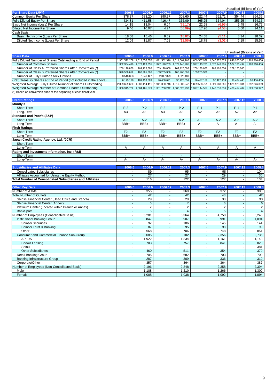|                                       |        |        |         |         |        |        | Unaudited (Billions of Yen) |        |
|---------------------------------------|--------|--------|---------|---------|--------|--------|-----------------------------|--------|
| Per Share Data (JPY)                  | 2006.6 | 2006.9 | 2006.12 | 2007.3  | 2007.6 | 2007.9 | 2007.12                     | 2008.3 |
| Common Equity Per Share               | 378.37 | 383.20 | 390.37  | 308.60  | 322.44 | 352.71 | 354.44                      | 364.35 |
| <b>Fully Diluted Equity Per Share</b> | 434.81 | 411.58 | 416.47  | 355.09  | 365.25 | 354.04 | 355.25                      | 364.35 |
| Basic Net Income (Loss) Per Share     | 14.15  | 13.04  | 6.04    | (79.17) | 22.68  | (6.96) | 6.48                        | 16.77  |
| Diluted Net Income Per Share          | 9.46   | 10.07  | 4.74    | (56.09) | 17.26  | (4.53) | 5.60                        | 14.11  |
| Cash Basis:                           |        |        |         |         |        |        |                             |        |
| Basic Net Income (Loss) Per Share     | 18.08  | 15.46  | 9.09    | (18.82) | 24.68  | (5.11) | 8.34                        | 18.39  |
| Diluted Net Income (Loss) Per Share   | 12.09  | 11.87  | 7.01    | (12.56) | 18.78  | (3.01) | 7.19                        | 15.53  |

|                                                                    |               |                  |             |                                                                                                                 |             |               | Unaudited (Billions of Yen) |              |
|--------------------------------------------------------------------|---------------|------------------|-------------|-----------------------------------------------------------------------------------------------------------------|-------------|---------------|-----------------------------|--------------|
| <b>Share Data</b>                                                  | 2006.6        | 2006.9           | 2006.12     | 2007.3                                                                                                          | 2007.6      | 2007.9        | 2007.12                     | 2008.3       |
| Fully Diluted Number of Shares Outstanding at End of Period        | 1.951.572.269 | 1.812.055.676 1. |             | 811,582,326   1,811,061,968   1,809,537,979   1,846,272,673   1,846,265,385   1,963,910,456   .                 |             |               |                             |              |
| Number of Common Shares                                            |               |                  |             | 1,352,364,416 1,377,120,055 1,377,140,253 1,377,145,285 1,377,143,785 1,577,143,785 1,577,136,497 1,963,910,456 |             |               |                             |              |
| Number of Class A Preferred Shares After Conversion (*)            | 269,128,888   | 269,128,888      | 269,128,888 | 269.128.888                                                                                                     | 269.128.888 | 269,128,888   | 269.128.888                 |              |
| Number of Class B Preferred Shares After Conversion (*)            | 326,530,612   | 163,265,306      | 163.265.306 | 163.265.306                                                                                                     | 163,265,306 |               |                             |              |
| Number of Fully Diluted Stock Options                              | 3,548,353     | 2.541.427        | 2,047,879   | 1.522.489                                                                                                       |             |               |                             |              |
| (Ref) Treasury Shares at End of Period (not included in the above) | 6,173,190     | 181,450,889      | 96,430,691  | 96.425.659                                                                                                      | 96.427.159  | 96.427.159    | 96.434.448                  | 96,436,435   |
| Weighted Average Fully Diluted Number of Shares Outstanding        | 2,029,659,620 | 1.988.114.411    |             | .941.080.746 1.917.803.242 1.809.538.751                                                                        |             | 1.821.783.261 | 1.829.973.801               | .852,346,309 |
| Weighted Average Number of Common Shares Outstanding               |               |                  |             | 1,356,915,702 1,384,101,579 1,381,768,242 1,380,628,230 1,377,144,557 1,443,810,836 1,488,414,487 1,529,530,977 |             |               |                             |              |
| (*) Based on conversion price at the beginning of each fiscal year |               |                  |             |                                                                                                                 |             |               |                             |              |

| 2006.6         | 2006.9         | 2006.12        | 2007.3         | 2007.6                   | 2007.9         | 2007.12        | 2008.3         |
|----------------|----------------|----------------|----------------|--------------------------|----------------|----------------|----------------|
|                |                |                |                |                          |                |                |                |
| $P-2$          | $P-2$          | $P-2$          | $P-2$          | $P-1$                    | $P-1$          | $P-1$          | $P-1$          |
| A <sub>3</sub> | A <sub>3</sub> | A <sub>3</sub> | A <sub>3</sub> | A2                       | A2             | A2             | A2             |
|                |                |                |                |                          |                |                |                |
| $A-2$          | $A-2$          | $A-2$          | $A-2$          | $A-2$                    | $A-2$          | $A-2$          | $A-2$          |
| BBB+           | BBB+           | BBB+           | BBB+           | A-                       | А-             | A-             | А-             |
|                |                |                |                |                          |                |                |                |
| F <sub>2</sub> | F <sub>2</sub> | F <sub>2</sub> | F <sub>2</sub> | F <sub>2</sub>           | F <sub>2</sub> | F <sub>2</sub> | F <sub>2</sub> |
| BBB+           | BBB+           | BBB+           | BBB+           | BBB+                     | BBB+           | BBB+           | BBB+           |
|                |                |                |                |                          |                |                |                |
| $\blacksquare$ | $\blacksquare$ | $\overline{a}$ | $\sim$         | $\overline{\phantom{a}}$ | $\blacksquare$ | $\blacksquare$ |                |
| A              | A              | A              | A              | A                        | A              | A              | A              |
|                |                |                |                |                          |                |                |                |
| $\blacksquare$ | $\blacksquare$ | $\overline{a}$ | $\sim$         | $\sim$                   | $\blacksquare$ | $\blacksquare$ | $\blacksquare$ |
| А-             | А-             | A-             | A-             | A-                       | А-             | A-             | А-             |
|                |                |                |                |                          |                |                |                |

| Data                                                     | 2006. | 2006 | <b>2006</b> | 2007.      |                              | 2007/<br>$\sim$ | 2008. |
|----------------------------------------------------------|-------|------|-------------|------------|------------------------------|-----------------|-------|
| <b>Consolidated Subsidiaries</b>                         |       | 89   |             | ΩE<br>ື    | ۵R<br>ຶ                      |                 | 104   |
| Affiliates Accounted for Using the Equity Method         |       | -    |             |            | 29                           |                 | 30    |
| Total Number of Consolidated Subsidiaries and Affiliates |       | 116  |             | ה ה<br>122 | $\overline{1}$<br>$\epsilon$ |                 | 134   |

| <b>Other Key Data</b>                             | 2006.6 | 2006.9 | 2006.12 | 2007.3         | 2007.6 | 2007.9 | 2007.12 | 2008.3         |
|---------------------------------------------------|--------|--------|---------|----------------|--------|--------|---------|----------------|
| Number of ATMs                                    |        | 355    |         | 369            |        | 372    |         | 380            |
| <b>Total Number of Outlets</b>                    |        | 42     |         | 42             |        | 43     |         | 42             |
| Shinsei Financial Center (Head Office and Branch) |        | 29     |         | 29             |        | 30     |         | 30             |
| Shinsei Financial Center (Annex)                  |        | 6      |         |                |        | 6      |         | 6              |
| Platinum Center (Located within Branch or Annex)  |        | 2      |         | $\overline{2}$ |        | 2      |         | $\overline{2}$ |
| <b>BankSpots</b>                                  |        | 5      |         | $\overline{4}$ |        | 5      |         | $\overline{4}$ |
| Number of Employees (Consolidated Basis)          |        | 5,281  |         | 5,364          |        | 4,750  |         | 5,245          |
| Institutional Banking Group                       |        | 847    |         | 907            |        | 991    |         | 1,094          |
| <b>Shinsei Securities</b>                         |        | 92     |         | 106            |        | 145    |         | 144            |
| Shinsei Trust & Banking                           |        | 87     |         | 95             |        | 98     |         | 99             |
| Other                                             |        | 668    |         | 706            |        | 748    |         | 851            |
| Consumer and Commercial Finance Sub-Group         |        | 3,085  |         | 3,102          |        | 2,356  |         | 2,736          |
| <b>APLUS</b>                                      |        | 1,922  |         | 1,834          |        | 1.161  |         | 1,148          |
| Showa Leasing                                     |        | 703    |         | 757            |        | 841    |         | 828            |
| Shinki                                            |        |        |         |                |        |        |         | 381            |
| <b>Other Subsidiaries</b>                         |        | 460    |         | 511            |        | 354    |         | 379            |
| <b>Retail Banking Group</b>                       |        | 705    |         | 682            |        | 703    |         | 709            |
| <b>Banking Infrastructure Group</b>               |        | 287    |         | 309            |        | 336    |         | 319            |
| Corporate/Other                                   |        | 357    |         | 364            |        | 364    |         | 387            |
| Number of Employees (Non-Consolidated Basis)      |        | 2,196  |         | 2,248          |        | 2,358  |         | 2,394          |
| Male                                              |        | 1.188  |         | 1.210          |        | ,266   |         | 1,300          |
| Female                                            |        | 1,008  |         | 1,038          |        | 1,092  |         | 1,094          |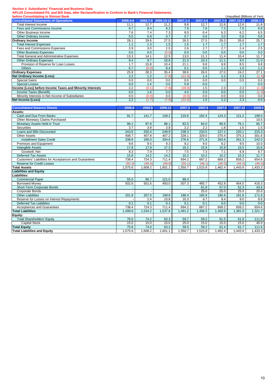### **Section 4. Subsidiaries' Financial and Business Data**

**APLUS Consolidated P/L and B/S Data, after Reclassification to Conform to Bank's Financial Statements,**

| before Consolidating to Shinsei Bank                     |                  |          |            |          |          | Unaudited (Billions of Yen) |                     |          |
|----------------------------------------------------------|------------------|----------|------------|----------|----------|-----------------------------|---------------------|----------|
| <b>Consolidated Statements of Operations</b>             | 2006.4-6         | 2006.7-9 | 2006.10-12 | 2007.1-3 | 2007.4-6 |                             | 2007.7-9 2007.10-12 | 2008.1-3 |
| <b>Total Interest Income</b>                             | 11.1             | 12.7     | 11.2       | 9.8      | 12.7     | 12.6                        | 12.6                | 11.6     |
| Fees and Commissions Income                              | 8.7              | 8.4      | 8.2        | 7.9      | 7.6      | 7.3                         | 7.0                 | 6.9      |
| Other Business Income                                    | 7.6              | 7.4      | 7.3        | 8.0      | 6.4      | 6.3                         | 6.2                 | 6.5      |
| Other Ordinary Income                                    | 0.5              | 0.9      | 0.7        | 0.7      | 0.6      | 3.0                         | 0.6                 | 0.6      |
| <b>Ordinary Income</b>                                   | 28.1             | 29.6     | 27.5       | 26.5     | 27.5     | 29.3                        | 26.6                | 25.7     |
| <b>Total Interest Expenses</b>                           | 1.1              | 1.3      | 1.5        | 1.5      | 1.7      | 1.7                         | $1.7$               | 1.7      |
| Fees and Commissions Expenses                            | 2.9              | 3.0      | 2.5        | 2.6      | 2.7      | 2.7                         | 2.4                 | 2.5      |
| <b>Other Business Expenses</b>                           | 0.0              | 0.0      | (0.0)      | 0.0      | 0.0      | 0.0                         | 0.0                 | 0.0      |
| <b>Total General and Administrative Expenses</b>         | 13.3             | 14.1     | 12.5       | 13.0     | 11.1     | 11.4                        | 10.4                | 11.7     |
| Other Ordinary Expenses                                  | 8.4              | 9.7      | 18.8       | 21.3     | 10.3     | 11.1                        | 9.5                 | 11.0     |
| Provision of Reserve for Loan Losses                     | 1.7              | 15.8     | 10.4       | 21.1     | 9.8      | 9.9                         | 8.5                 | 9.8      |
| <b>Others</b>                                            | 6.7              | (6.0)    | 8.4        | 0.1      | 0.5      | 1.1                         | 1.0                 | 1.2      |
| <b>Ordinary Expenses</b>                                 | 25.9             | 28.3     | 35.4       | 38.6     | 26.0     | 27.0                        | 24.2                | 27.1     |
| <b>Net Ordinary Income (Loss)</b>                        | 2.2              | 1.2      | (7.8)      | (12.0)   | 1.4      | 2.2                         | 2.3                 | (1.4)    |
| <b>Special Gains</b>                                     | 0.0              | 0.0      | 0.0        | 0.0      | 0.0      | 0.0                         | 0.0                 | 0.0      |
| <b>Special Losses</b>                                    | 0.0              | 1.4      | 0.0        | 5.9      | 0.0      |                             |                     | 0.0      |
| Income (Loss) before Income Taxes and Minority Interests | 2.2              | (0.1)    | (7.8)      | (18.0)   | 1.5      | 2.3                         | 2.3                 | (1.3)    |
| Income Taxes (Benefit)                                   | 0.0              | 1.6      | 0.0        | 4.0      | 0.0      | 0.0                         | 0.0                 | (1.3)    |
| Minority Interests in Net Income of Subsidiaries         | 0.0              | (0.0)    | 0.0        | (0.0)    | 0.0      | 0.0                         | 0.0                 | 0.0      |
| <b>Net Income (Loss)</b>                                 | $\overline{2.2}$ | (1.7)    | (7.8)      | (22.0)   | 1.5      | 2.2                         | 2.3                 | 0.0      |
|                                                          |                  |          |            |          |          |                             |                     |          |
| <b>Consolidated Balance Sheets</b>                       | 2006.6           | 2006.9   | 2006.12    | 2007.3   | 2007.6   | 2007.9                      | 2007.12             | 2008.3   |
| Assets:                                                  |                  |          |            |          |          |                             |                     |          |
| Cash and Due From Banks                                  | 91.7             | 141.7    | 149.2      | 219.6    | 192.4    | 124.3                       | 121.2               | 198.0    |
| Other Monetary Claims Purchased                          |                  |          |            |          |          |                             |                     | 10.5     |
| Monetary Assets Held in Trust                            | 96.1             | 87.8     | 88.1       | 82.5     | 84.0     | 80.6                        | 76.1                | 60.7     |
| <b>Securities</b>                                        | 3.7              | 3.8      | 3.8        | 2.2      | 2.2      | 1.8                         | 1.6                 | 1.5      |
| Loans and Bills Discounted                               | 243.6            | 250.4    | 249.9      | 238.3    | 233.5    | 227.2                       | 220.1               | 215.3    |
| <b>Other Assets</b>                                      | 408.7            | 407.8    | 407.2      | 328.1    | 329.0    | 370.4                       | 375.3               | 301.6    |
| <b>Installment Sales Credit</b>                          | 338.8            | 336.0    | 334.6      | 276.6    | 271.8    | 263.6                       | 261.3               | 242.0    |
| Premises and Equipment                                   | 9.6              | 9.5      | 9.3        | 9.2      | 9.0      | 9.2                         | 9.5                 | 10.0     |
| Intangible Assets                                        | 17.8             | 17.9     | 17.3       | 16.2     | 15.9     | 15.8                        | 15.5                | 15.6     |
| Goodwill, Net                                            | 8.3              | 7.9      | 7.7        | 7.5      | 7.3      | 7.1                         | 6.9                 | 6.7      |
| <b>Deferred Tax Assets</b>                               | 15.8             | 14.2     | 14.2       | 10.2     | 10.2     | 10.2                        | 10.3                | 11.7     |
| Customers' Liabilities for Acceptances and Guarantees    | 738.4            | 724.3    | 711.4      | 694.2    | 687.2    | 669.2                       | 658.2               | 654.6    |
| Reserve for Credit Losses                                | (50.3)           | (49.4)   | (49.8)     | (50.1)   | (48.1)   | (46.5)                      | (44.5)              | (46.5)   |
| <b>Total Assets</b>                                      | 1,575.6          | 1,608.2  | 1,601.1    | 1,550.7  | 1,515.8  | 1,462.4                     | 1,443.6             | 1,433.3  |
| <b>Liabilities and Equity</b>                            |                  |          |            |          |          |                             |                     |          |
| Liabilities:                                             |                  |          |            |          |          |                             |                     |          |
| <b>Commercial Paper</b>                                  | 55.0             | 95.7     | 121.0      | 89.3     |          |                             |                     |          |
| <b>Borrowed Money</b>                                    | 502.6            | 501.6    | 493.0      | 507.3    | 485.7    | 452.8                       | 454.5               | 416.3    |
| Short-Term Corporate Bonds                               |                  |          |            |          | 61.8     | 57.0                        | 52.3                | 43.6     |
| Corporate Bonds                                          |                  |          |            |          | 25.0     | 25.0                        | 25.0                | 25.0     |
| <b>Other Liabilities</b>                                 | 201.9            | 207.5    | 199.8      | 188.4    | 185.9    | 185.8                       | 181.6               | 171.6    |
| Reserve for Losses on Interest Repayments                |                  | 2.4      | 10.8       | 10.3     | 9.7      | 9.4                         | 9.0                 | 8.6      |
| <b>Deferred Tax Liabilities</b>                          | 0.1              | 0.1      | 0.1        | 0.1      | 0.1      | 0.0                         | 0.0                 | 0.0      |
| Acceptances and Guarantees                               | 738.4            | 724.3    | 711.4      | 694.2    | 687.2    | 669.2                       | 658.2               | 654.6    |
| <b>Total Liabilities</b>                                 | 1,499.6          | 1,534.2  | 1,537.8    | 1,491.2  | 1,456.5  | 1,400.9                     | 1,381.9             | 1,321.7  |
| Equity:                                                  |                  |          |            |          |          |                             |                     |          |
| <b>Total Shareholders' Equity</b>                        | 76.0             | 74.2     | 63.3       | 59.7     | 59.2     | 61.5                        | 61.9                | 111.9    |
| <b>Capital Stock</b>                                     | 15.0             | 15.0     | 15.0       | 25.0     | 15.0     | 15.0                        | 15.0                | 40.0     |
| <b>Total Equity</b>                                      | 75.9             | 74.0     | 63.2       | 59.5     | 59.2     | 61.4                        | 61.7                | 111.6    |
| <b>Total Liabilities and Equity</b>                      | 1,575.6          | 1,608.2  | 1,601.1    | 1,550.7  | 1,515.8  | 1,462.4                     | 1,443.6             | 1,433.3  |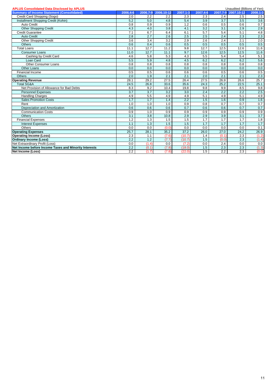| <b>APLUS Consolidated Data Disclosed by APLUS</b>     |          |          |            |              | Unaudited (Billions of Yen) |       |                     |          |  |
|-------------------------------------------------------|----------|----------|------------|--------------|-----------------------------|-------|---------------------|----------|--|
| <b>Summary of Income Statement (Consolidated)</b>     | 2006.4-6 | 2006.7-9 | 2006.10-12 | $2007.1 - 3$ | 2007.4-6                    |       | 2007.7-9 2007.10-12 | 2008.1-3 |  |
| Credit Card Shopping (Sogo)                           | 2.0      | 2.2      | 2.2        | 2.3          | 2.3                         | 2.4   | 2.5                 | 2.5      |  |
| Installment Shopping Credit (Kohin)                   | 5.2      | 5.0      | 4.8        | 5.4          | 3.9                         | 3.7   | 3.5                 | 3.6      |  |
| <b>Auto Credit</b>                                    | 0.8      | 0.9      | 0.9        | 1.2          | 0.6                         | 0.5   | 0.6                 | 0.7      |  |
| <b>Other Shopping Credit</b>                          | 4.3      | 4.0      | 3.8        | 4.1          | $\overline{3.2}$            | 3.1   | 2.9                 | 2.9      |  |
| <b>Credit Guarantee</b>                               | 7.1      | 6.7      | 6.4        | 6.1          | 5.7                         | 5.4   | 5.1                 | 4.8      |  |
| <b>Auto Credit</b>                                    | 2.8      | 2.7      | 2.6        | 2.5          | 2.5                         | 2.4   | 2.3                 | 2.3      |  |
| Other Shopping Credit                                 | 3.6      | 3.4      | 3.2        | 2.9          | 2.6                         | 2.4   | 2.1                 | 2.0      |  |
| <b>Others</b>                                         | 0.6      | 0.4      | 0.6        | 0.5          | 0.5                         | 0.5   | 0.5                 | 0.5      |  |
| <b>Total Loans</b>                                    | 11.1     | 12.7     | 11.2       | 9.8          | 12.7                        | 12.5  | 12.6                | 11.6     |  |
| <b>Consumer Loans</b>                                 | 11.0     | 12.7     | 11.1       | 9.7          | 12.6                        | 12.5  | 12.5                | 11.6     |  |
| Cashing by Credit Card                                | 4.6      | 5.8      | 5.3        | 4.3          | 5.5                         | 5.4   | 5.4                 | 5.1      |  |
| Loan Card                                             | 5.5      | 5.9      | 4.8        | 4.5          | 6.2                         | 6.2   | 6.2                 | 5.6      |  |
| Other Consumer Loans                                  | 0.8      | 0.8      | 0.8        | 0.8          | 0.8                         | 0.8   | 0.8                 | 0.8      |  |
| <b>Other Loans</b>                                    | 0.0      | 0.0      | 0.0        | 0.0          | 0.0                         | 0.0   | 0.0                 | 0.0      |  |
| Financial Income                                      | 0.5      | 0.5      | 0.6        | 0.6          | 0.6                         | 0.5   | 0.6                 | 0.5      |  |
| <b>Others</b>                                         | 2.0      | 1.9      | 2.1        | 2.1          | 2.0                         | 2.1   | 2.1                 | 2.3      |  |
| <b>Operating Revenue</b>                              | 28.1     | 29.2     | 27.5       | 26.4         | 27.5                        | 26.9  | 26.6                | 25.7     |  |
| Total SG&A                                            | 24.5     | 26.8     | 33.6       | 35.6         | 24.3                        | 25.2  | 22.5                | 25.1     |  |
| Net Provision of Allowance for Bad Debts              | 8.3      | 9.2      | 10.4       | 19.8         | 9.8                         | 9.9   | 8.5                 | 9.8      |  |
| <b>Personnel Expenses</b>                             | 3.7      | 3.7      | 3.2        | 3.0          | 2.4                         | 2.2   | 2.2                 | 2.5      |  |
| <b>Handling Charges</b>                               | 4.9      | 5.5      | 4.9        | 4.9          | 5.1                         | 4.9   | 5.1                 | 4.9      |  |
| <b>Sales Promotion Costs</b>                          | 1.7      | 1.7      | 1.4        | 2.2          | 1.5                         | 1.6   | 0.9                 | 1.6      |  |
| Rent                                                  | 1.0      | 1.0      | 1.0        | 0.9          | 0.8                         | 0.7   | 0.7                 | 0.7      |  |
| Depreciation and Amortization                         | 0.6      | 0.6      | 0.6        | 0.7          | 0.6                         | 0.6   | 0.7                 | 0.7      |  |
| <b>Communication Costs</b>                            | 0.9      | 1.0      | 0.9        | 0.9          | 0.9                         | 0.9   | 0.9                 | 0.9      |  |
| <b>Others</b>                                         | 3.1      | 3.8      | 10.8       | 2.9          | 2.9                         | 3.9   | 3.1                 | 3.7      |  |
| <b>Financial Expenses</b>                             | 1.2      | 1.3      | 1.5        | 1.5          | 1.7                         | 1.7   | 1.7                 | 1.8      |  |
| <b>Interest Expenses</b>                              | 1.1      | 1.3      | 1.5        | 1.5          | 1.7                         | 1.7   | 1.7                 | 1.7      |  |
| Others                                                | 0.0      | 0.0      | (0.0)      | 0.0          | 0.0                         | 0.0   | 0.0                 | 0.1      |  |
| <b>Operating Expenses</b>                             | 25.7     | 28.1     | 35.2       | 37.2         | 26.0                        | 27.0  | 24.2                | 26.9     |  |
| <b>Operating Income (Loss)</b>                        | 2.3      | 1.1      | (7.6)      | (10.7)       | 1.4                         | (0.1) | 2.3                 | (1.2)    |  |
| <b>Ordinary Income (Loss)</b>                         | 2.2      | 1.2      | (7.7)      | (10.7)       | 1.5                         | (0.0) | 2.3                 | (1.4)    |  |
| Net Extraordinary Profit (Loss)                       | 0.0      | (1.4)    | 0.0        | (7.2)        | 0.0                         | 2.4   | 0.0                 | 0.0      |  |
| Net Income before Income Taxes and Minority Interests | 2.2      | (0.1)    | (7.8)      | (18.0)       | 1.5                         | 2.3   | 2.3                 | (1.3)    |  |
| Net Income (Loss)                                     | 2.2      | (1.7)    | (7.8)      | (22.0)       | 1.5                         | 2.2   | 2.3                 | (0.0)    |  |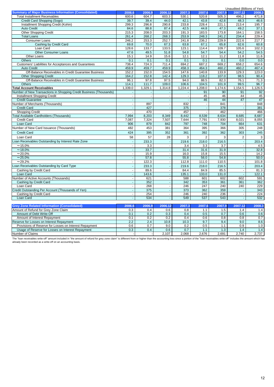|                                                                    |         |                      |                          |                          |                |         | Unaudited (Billions of Yen) |         |
|--------------------------------------------------------------------|---------|----------------------|--------------------------|--------------------------|----------------|---------|-----------------------------|---------|
| <b>Summary of Major Business Information (Consolidated)</b>        | 2006.6  | 2006.9               | 2006.12                  | 2007.3                   | 2007.6         | 2007.9  | 2007.12                     | 2008.3  |
| <b>Total Installment Receivables</b>                               | 600.6   | 604.7                | 603.3                    | 530.1                    | 520.8          | 505.3   | 496.2                       | 471.8   |
| Credit Card Shopping (Sogo)                                        | 39.7    | 39.4                 | 44.0                     | 42.1                     | 43.8           | 42.8    | 48.3                        | 46.6    |
| Installment Shopping Credit (Kohin)                                | 299.3   | 296.8                | 290.8                    | 233.8                    | 228.4          | 221.1   | 213.4                       | 195.7   |
| <b>Auto Credit</b>                                                 | 84.6    | 88.8                 | 87.4                     | 42.5                     | 44.8           | 47.3    | 49.2                        | 37.1    |
| <b>Other Shopping Credit</b>                                       | 215.3   | 208.0                | 203.3                    | 191.3                    | 183.5          | 173.8   | 164.1                       | 158.5   |
| <b>Total Loans</b>                                                 | 261.4   | 268.2                | 268.3                    | 253.9                    | 248.3          | 241.2   | 234.4                       | 229.4   |
| Consumer Loans                                                     | 246.2   | 253.3                | 252.7                    | 241.8                    | 236.2          | 229.9   | 222.6                       | 217.7   |
| Cashing by Credit Card                                             | 69.8    | 70.0                 | 67.3                     | 63.8                     | 67.1           | 65.8    | 62.6                        | 60.8    |
| Loan Card                                                          | 128.6   | 133.7                | 133.5                    | 123.1                    | 114.4          | 109.7   | 105.6                       | 102.3   |
| Other Consumer Loans                                               | 47.6    | 49.5                 | 51.8                     | 54.8                     | 54.7           | 54.4    | 54.2                        | 54.5    |
| Other Loans                                                        | 15.1    | 14.9                 | 15.6                     | 12.1                     | 12.1           | 11.2    | 11.8                        | 11.6    |
| <b>Others</b>                                                      | 0.1     | 0.1                  | 0.1                      | 0.1                      | 0.1            | 0.1     | 0.0                         | 0.0     |
|                                                                    | 738.4   | 724.3                | 711.4                    | 694.2                    | 687.2          | 669.2   | 658.2                       | 654.6   |
| Customers' Liabilities for Acceptances and Guarantees              |         |                      |                          |                          |                |         |                             | 467.4   |
| <b>Auto Credit</b>                                                 | 459.9   | 459.7                | 459.9                    | 458.3                    | 464.3          | 460.2   | 460.2                       |         |
| Off-Balance Receivables in Credit Guarantee Business               | 152.2   | 152.0                | 154.5                    | 147.6                    | 140.8          | 133.9   | 129.3                       | 123.0   |
| <b>Other Shopping Credit</b>                                       | 164.2   | 152.8                | 142.4                    | 129.3                    | 118.2          | 107.0   | 98.5                        | 90.4    |
| Off-Balance Receivables in Credit Guarantee Business               | 96.1    | 97.8                 | 97.5                     | 94.0                     | 88.5           | 82.3    | 76.1                        | 71.3    |
| Others                                                             | 114.1   | 111.7                | 109.0                    | 106.6                    | 104.5          | 101.9   | 99.5                        | 96.7    |
| <b>Total Account Receivables</b>                                   | 1,339.0 | 1,329.1              | 1,314.8                  | 1,224.4                  | 1,208.0        | 1,174.6 | 1,154.5                     | 1,126.5 |
| Number of New Transactions in Shopping Credit Business (Thousands) |         |                      |                          |                          | 91             | 90      | 91                          | 92      |
| <b>Installment Shopping Credit</b>                                 |         | $\ddot{\phantom{a}}$ | $\overline{\phantom{a}}$ | $\overline{\phantom{a}}$ | 45             | 46      | 44                          | 45      |
| <b>Credit Guarantee</b>                                            |         | $\mathbf{r}$         | ÷.                       | $\omega$                 | 46             | 44      | 47                          | 47      |
| Number of Merchants (Thousands)                                    |         | 897                  | ÷                        | 832                      |                | 841     | $\overline{\phantom{a}}$    | 848     |
| <b>Credit Card</b>                                                 |         | 427                  |                          | 375                      |                | 378     | ÷,                          | 381     |
| <b>Shopping Credit</b>                                             |         | 470                  | $\ddot{\phantom{a}}$     | 457                      |                | 462     | $\overline{a}$              | 466     |
| Total Available Cardholders (Thousands)                            | 7,994   | 8,203                | 8,349                    | 8,442                    | 8,539          | 8,634   | 8,685                       | 8,687   |
| <b>Credit Card</b>                                                 | 7,087   | 7,324                | 7,507                    | 7,644                    | 7,791          | 7,930   | 8,021                       | 8,055   |
| Loan Card                                                          | 906     | 879                  | 842                      | 797                      | 748            | 704     | 664                         | 631     |
| Number of New Card Issuance (Thousands)                            | 482     | 453                  | 381                      | 364                      | 395            | 366     | 305                         | 248     |
| <b>Credit Card</b>                                                 | 424     | 395                  | 352                      | 361                      | 392            | 362     | 303                         | 245     |
| Loan Card                                                          | 58      | 57                   | 28                       | 3                        | $\overline{2}$ | 3       | $\overline{\mathbf{c}}$     | 3       |
| Loan Receivables Outstanding by Interest Rate Zone                 |         | 233.3                |                          | 219.6                    | 218.0          | 216.5   |                             | 203.4   |
|                                                                    |         |                      |                          |                          |                |         | ÷,                          |         |
| $~15.0\%$                                                          |         | 3.3                  | $\overline{\phantom{a}}$ | 3.4                      | 3.3            | 3.7     | ä,                          | 4.5     |
| $~18.0\%$                                                          |         | 33.7                 | J.                       | 31.4                     | 31.6           | 31.9    | $\Box$                      | 32.8    |
| $~20.0\%$                                                          |         | 15.9                 | $\overline{\phantom{a}}$ | 16.0                     | 15.8           | 15.5    | $\overline{\phantom{a}}$    | 14.2    |
| $\sim$ 25.0%                                                       |         | 57.8                 | $\blacksquare$           | 55.8                     | 56.0           | 54.8    | $\Box$                      | 50.0    |
| $~29.2\%$                                                          | J.      | 122.3                | $\sim$                   | 112.8                    | 111.0          | 110.5   | $\sim$                      | 101.8   |
| Loan Receivables Outstanding by Card Type                          |         | 233.3                | ÷.                       | 219.6                    | 218.0          | 216.5   | $\blacksquare$              | 203.4   |
| Cashing by Credit Card                                             |         | 89.6                 | $\overline{\phantom{a}}$ | 84.4                     | 84.9           | 85.5    | $\ddot{\phantom{a}}$        | 81.3    |
| Loan Card                                                          |         | 143.6                | J.                       | 135.1                    | 133.0          | 131.0   |                             | 122.1   |
| Number of Active Accounts (Thousands)                              |         | 621                  | ÷,                       | 588                      | 601            | 602     | 602                         | 591     |
| Cashing by Credit Card                                             |         | 352                  | $\blacksquare$           | 342                      | 353            | 361     | 361                         | 362     |
| Loan Card                                                          |         | 268                  | $\overline{\phantom{a}}$ | 246                      | 247            | 240     | 240                         | 229     |
| Credit Outstanding Per Account (Thousands of Yen)                  |         | 375                  | $\overline{\phantom{a}}$ | 373                      | 362            | 359     | ÷                           | 343     |
| Cashing by Credit Card                                             | ÷,      | 254                  | ÷,                       | 246                      | 240            | 236     | ÷,                          | 224     |
| Loan Card                                                          |         | 534                  | ÷.                       | 549                      | 537            | 543     | ÷,                          | 532     |
|                                                                    |         |                      |                          |                          |                |         |                             |         |
| <b>Grey Zone Related Information (Consolidated)</b>                | 2006.6  | 2006.9               | 2006.12                  | 2007.3                   | 2007.6         | 2007.9  | 2007.12                     | 2008.3  |
| Amount of Refund for Grey Zone Claim                               | 0.3     | 0.4                  | 0.6                      | 0.8                      | 1.1            | 1.5     | 1.4                         | 1.4     |
| Amount of Debt Write-Off                                           | 0.1     | 0.2                  | 0.3                      | 0.4                      | 0.5            | 0.7     | 0.6                         | 0.6     |
| Amount of Interest Repayment                                       | 0.1     | 0.2                  | 0.2                      | 0.4                      | 0.6            | 0.8     | 0.8                         | 0.7     |
| Reserve for Losses on Interest Repayment                           | 2.2     | 2.4                  | 10.8                     | 10.3                     | 9.7            | 9.4     | 9.0                         | 8.6     |
| Provisions of Reserve for Losses on Interest Repayment             | 0.6     | 0.7                  | 9.0                      | 0.2                      | 0.5            | 1.1     | 0.9                         | 1.0     |
| Usage of Reserve for Losses on Interest Repayment                  | 0.3     | 0.4                  | 0.6                      | 0.7                      | 1.1            | 1.3     | 1.4                         | 1.4     |
| Number of Claims                                                   |         |                      | 2,107                    | 2,068                    | 2,676          | 2,691   | 2,740                       | 2,737   |
|                                                                    |         |                      |                          |                          |                |         |                             |         |

The "loan receivables write-off" amount included in "the amount of refund for grey zone claim" is different from or higher than the accounting loss since a portion of the "loan receivables write-off" includes the amount wh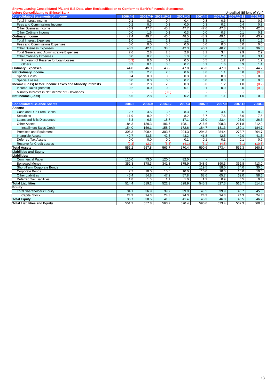### **Showa Leasing Consolidated P/L and B/S Data, after Reclassification to Conform to Bank's Financial Statements,**

| before Consolidating to Shinsei Bank<br>Unaudited (Billions of Yen) |          |        |                     |          |          |                  |                     |          |
|---------------------------------------------------------------------|----------|--------|---------------------|----------|----------|------------------|---------------------|----------|
| <b>Consolidated Statements of Income</b>                            | 2006.4-6 |        | 2006.7-9 2006.10-12 | 2007.1-3 | 2007.4-6 |                  | 2007.7-9 2007.10-12 | 2008.1-3 |
| <b>Total Interest Income</b>                                        | 0.1      | 0.0    | 0.4                 | 0.4      | 0.8      | 0.6              | 1.1                 | 0.6      |
| Fees and Commissions Income                                         | 0.2      | 0.3    | 0.1                 | 0.0      | 0.3      | 0.2              | 0.4                 | 0.3      |
| Other Business Income                                               | 46.9     | 47.7   | 45.3                | 47.7     | 47.6     | 47.8             | 45.3                | 42.8     |
| Other Ordinary Income                                               | 0.0      | 1.6    | 0.1                 | 0.3      | 0.0      | 0.3              | 0.1                 | 0.1      |
| <b>Ordinary Income</b>                                              | 47.4     | 49.7   | 46.0                | 48.5     | 48.9     | 49.1             | 47.0                | 43.9     |
| <b>Total Interest Expenses</b>                                      | 1.0      | 1.1    | 1.1                 | 1.2      | 1.3      | 1.4              | 1.4                 | 1.5      |
| Fees and Commissions Expenses                                       | 0.0      | 0.0    | 0.0                 | 0.0      | 0.0      | 0.0              | 0.0                 | 0.0      |
| <b>Other Business Expenses</b>                                      | 40.2     | 42.1   | 38.8                | 42.3     | 40.1     | 40.2             | 38.6                | 36.5     |
| <b>Total General and Administrative Expenses</b>                    | 2.6      | 2.8    | 2.8                 | 2.8      | 3.1      | $\overline{3.4}$ | 2.9                 | 2.9      |
| <b>Other Ordinary Expenses</b>                                      | 0.0      | 0.7    | 0.2                 | 1.3      | 0.6      | 2.8              | 3.0                 | 3.1      |
| Provision of Reserve for Loan Losses                                | (0.3)    | 0.6    | 0.1                 | 0.5      | 0.5      | 1.2              | 2.0                 | 1.7      |
| <b>Others</b>                                                       | 0.3      | 0.1    | 0.0                 | 0.7      | 0.1      | 1.6              | 0.9                 | 1.4      |
| <b>Ordinary Expenses</b>                                            | 44.0     | 46.9   | 43.2                | 47.8     | 45.3     | 47.9             | 46.1                | 44.2     |
| <b>Net Ordinary Income</b>                                          | 3.3      | 2.7    | $\overline{2.8}$    | 0.6      | 3.6      | 1.1              | 0.8                 | (0.3)    |
| <b>Special Gains</b>                                                | 3.4      | 0.0    | 0.0                 | 0.3      | 0.0      | 0.0              | 0.1                 | 0.0      |
| <b>Special Losses</b>                                               | 0.0      | 0.0    | 0.0                 | 0.7      | 0.0      | 0.0              | 0.0                 | 0.0      |
| Income (Loss) before Income Taxes and Minority Interests            | 6.8      | 2.8    | 2.8                 | 0.3      | 3.6      | 1.2              | 1.0                 | (0.2)    |
| Income Taxes (Benefit)                                              | 0.2      | 0.0    | 0.0                 | 0.1      | 0.1      | 0.0              | 0.0                 | (0.3)    |
| Minority Interests in Net Income of Subsidiaries                    |          |        | (0.0)               |          |          |                  |                     |          |
| <b>Net Income (Loss)</b>                                            | 6.5      | 2.8    | 2.8                 | 0.2      | 3.5      | 1.1              | 1.0                 | 0.0      |
|                                                                     |          |        |                     |          |          |                  |                     |          |
| <b>Consolidated Balance Sheets</b>                                  | 2006.6   | 2006.9 | 2006.12             | 2007.3   | 2007.6   | 2007.9           | 2007.12             | 2008.3   |
| Assets:                                                             |          |        |                     |          |          |                  |                     |          |
| Cash and Due From Banks                                             | 2.7      | 3.5    | 3.6                 | 8.3      | 3.7      | 4.4              | 3.6                 | 8.2      |
| <b>Securities</b>                                                   | 11.9     | 8.9    | 9.0                 | 8.2      | 8.7      | 7.6              | 6.6                 | 7.6      |
| Loans and Bills Discounted                                          | 5.3      | 6.5    | 18.7                | 17.1     | 25.0     | 23.4             | 23.0                | 26.5     |
| <b>Other Assets</b>                                                 | 184.3    | 189.3  | 186.7               | 198.1    | 216.6    | 208.3            | 211.8               | 212.2    |
| <b>Installment Sales Credit</b>                                     | 154.0    | 159.1  | 158.2               | 172.6    | 184.7    | 181.3            | 180.1               | 184.7    |
| Premises and Equipment                                              | 306.3    | 308.4  | 303.7               | 294.3    | 294.3    | 284.4            | 273.7               | 264.7    |
| <b>Intangible Assets</b>                                            | 42.7     | 43.5   | 42.3                | 43.2     | 41.8     | 42.5             | 42.0                | 41.3     |
| <b>Deferred Tax Assets</b>                                          | 0.0      | 0.0    | 0.0                 | 0.1      | 0.1      | 0.1              | 0.1                 | 0.9      |
| <b>Reserve for Credit Losses</b>                                    | (2.3)    | (2.7)  | (5.3)               | (4.1)    | (5.1)    | (4.8)            | (6.1)               | (10.3)   |
| <b>Total Assets</b>                                                 | 551.2    | 557.8  | 563.7               | 570.4    | 590.6    | 573.4            | 562.3               | 560.8    |
| <b>Liabilities and Equity</b>                                       |          |        |                     |          |          |                  |                     |          |
| Liabilities:                                                        |          |        |                     |          |          |                  |                     |          |
| <b>Commercial Paper</b>                                             | 110.0    | 73.0   | 120.0               | 82.0     |          |                  |                     |          |
| <b>Borrowed Money</b>                                               | 352.3    | 378.3  | 341.8               | 375.9    | 348.9    | 390.3            | 366.8               | 413.0    |
| Short-Term Corporate Bonds                                          |          |        |                     |          | 119.5    | 58.0             | 74.0                | 30.0     |
| Corporate Bonds                                                     | 2.7      | 10.0   | 10.0                | 10.0     | 10.0     | 10.0             | 10.0                | 10.0     |
| <b>Other Liabilities</b>                                            | 45.4     | 54.8   | 47.2                | 57.8     | 63.6     | 65.7             | 62.0                | 58.5     |
| <b>Deferred Tax Liabilities</b>                                     | 1.8      | 1.0    | 1.1                 | 1.0      | 1.2      | 0.9              | 0.5                 | 0.3      |
| <b>Total Liabilities</b>                                            | 514.4    | 519.2  | 522.3               | 528.9    | 545.3    | 527.3            | 515.7               | 514.5    |
| Equity:                                                             |          |        |                     |          |          |                  |                     |          |
| <b>Total Shareholders' Equity</b>                                   | 34.1     | 36.9   | 39.7                | 39.9     | 43.5     | 39.9             | 45.7                | 45.8     |
| <b>Capital Stock</b>                                                | 24.3     | 24.3   | 24.3                | 24.3     | 24.3     | 24.3             | 24.3                | 24.3     |
| <b>Total Equity</b>                                                 | 36.7     | 38.5   | 41.3                | 41.4     | 45.3     | 46.0             | 46.5                | 46.2     |
| <b>Total Liabilities and Equity</b>                                 | 551.2    | 557.8  | 563.7               | 570.4    | 590.6    | 573.4            | 562.3               | 560.8    |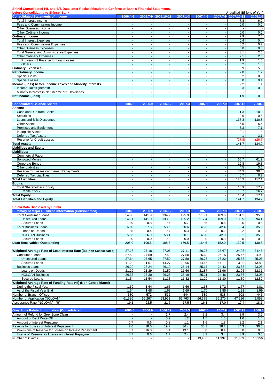**Shinki Consolidated P/L and B/S Data, after Reclassification to Conform to Bank's Financial Statements,**

| before Consolidating to Shinsei Bank                     | Unaudited (Billions of Yen) |          |            |          |          |  |                          |          |
|----------------------------------------------------------|-----------------------------|----------|------------|----------|----------|--|--------------------------|----------|
| <b>Consolidated Statements of Income</b>                 | 2006.4-6                    | 2006.7-9 | 2006.10-12 | 2007.1-3 | 2007.4-6 |  | 2007.7-9 2007.10-12      | 2008.1-3 |
| Total Interest Income                                    |                             |          |            |          |          |  | 7.8                      | 6.9      |
| Fees and Commissions Income                              |                             |          |            |          |          |  | 0.0                      | 0.0      |
| Other Business Income                                    |                             |          |            |          |          |  |                          |          |
| Other Ordinary Income                                    |                             |          |            |          |          |  | 0.0                      | 0.0      |
| <b>Ordinary Income</b>                                   |                             |          |            |          |          |  | 7.9                      | 7.0      |
| <b>Total Interest Expenses</b>                           |                             |          |            |          |          |  | 0.4                      | 0.4      |
| Fees and Commissions Expenses                            |                             |          |            |          |          |  | 0.2                      | 0.2      |
| <b>Other Business Expenses</b>                           |                             |          |            |          |          |  | 0.0                      | 0.0      |
| <b>Total General and Administrative Expenses</b>         |                             |          |            |          |          |  | 3.1                      | 2.5      |
| <b>Other Ordinary Expenses</b>                           |                             |          |            |          |          |  | 2.1                      | 2.5      |
| Provision of Reserve for Loan Losses                     |                             |          |            |          |          |  | 1.9                      | 1.0      |
| <b>Others</b>                                            |                             |          |            |          |          |  | 0.2                      | 1.5      |
| <b>Ordinary Expenses</b>                                 |                             |          |            |          |          |  | 5.9                      | 5.8      |
| <b>Net Ordinary Income</b>                               |                             |          |            |          |          |  | 2.0                      | 1.2      |
| Special Gains                                            |                             |          |            |          |          |  | 0.2                      | 0.3      |
| <b>Special Losses</b>                                    |                             |          |            |          |          |  | 0.0                      | 0.4      |
| Income (Loss) before Income Taxes and Minority Interests |                             |          |            |          |          |  | 2.2                      | 1.1      |
| Income Taxes (Benefit)                                   |                             |          |            |          |          |  | 0.3                      | 0.3      |
| Minority Interests in Net Income of Subsidiaries         |                             |          |            |          |          |  | $\overline{\phantom{0}}$ |          |
| Net Income (Loss)                                        |                             |          |            |          | ٠        |  | 1.9                      | 0.8      |

| <b>Consolidated Balance Sheets</b>        | 2006.6 | 2006.9 | 2006.12 | 2007.3 | 2007.6 | 2007.9 | 2007.12 | 2008.3 |
|-------------------------------------------|--------|--------|---------|--------|--------|--------|---------|--------|
| Assets:                                   |        |        |         |        |        |        |         |        |
| Cash and Due from Banks                   |        |        |         |        |        |        | 11.3    | 10.8   |
| <b>Securities</b>                         |        |        |         |        |        |        | 0.6     | 0.5    |
| Loans and Bills Discounted                |        |        |         |        |        |        | 137.8   | 130.8  |
| <b>Other Assets</b>                       |        |        |         |        |        |        | 6.0     | 6.4    |
| Premises and Equipment                    |        |        |         |        |        |        | 7.3     | 7.1    |
| Intangible Assets                         |        |        |         |        |        |        | 2.1     | 1.8    |
| <b>Deferred Tax Assets</b>                |        |        |         |        |        |        | 4.1     | 3.1    |
| Reserve for Credit Losses                 |        |        |         |        |        |        | (27.8)  | (26.7) |
| <b>Total Assets</b>                       |        |        |         |        |        |        | 141.7   | 134.2  |
| <b>Liabilities and Equity</b>             |        |        |         |        |        |        |         |        |
| Liabilities:                              |        |        |         |        |        |        |         |        |
| <b>Commercial Paper</b>                   |        |        |         |        |        |        |         | $\sim$ |
| <b>Borrowed Money</b>                     |        |        |         |        |        |        | 65.7    | 61.9   |
| Corporate Bonds                           |        |        |         |        |        |        | 19.8    | 19.8   |
| <b>Other Liabilities</b>                  |        |        |         |        |        |        | 4.5     | 3.6    |
| Reserve for Losses on Interest Repayments |        |        |         |        |        |        | 34.3    | 30.6   |
| <b>Deferred Tax Liabilities</b>           |        |        |         |        |        |        | 0.7     | 0.7    |
| <b>Total Liabilities</b>                  |        |        |         |        |        |        | 125.3   | 117.1  |
| Equity:                                   |        |        |         |        |        |        |         |        |
| <b>Total Shareholders' Equity</b>         |        |        |         |        |        |        | 16.9    | 17.7   |
| <b>Capital Stock</b>                      |        |        |         |        |        |        | 16.7    | 16.7   |
| <b>Total Equity</b>                       |        |        |         |        |        |        | 16.4    | 17.1   |
| <b>Total Liabilities and Equity</b>       |        |        |         |        |        |        | 141.7   | 134.2  |

#### **Shinki Data Disclosed by Shinki**

| <u>ommu Data Dioolooca Dy Ommu </u><br><b>Summary of Major Business Information (Consolidated)</b> | 2006.6 | 2006.9 | 2006.12 | 2007.3 | 2007.6 | 2007.9 | 2007.12 | 2008.3 |
|----------------------------------------------------------------------------------------------------|--------|--------|---------|--------|--------|--------|---------|--------|
| <b>Total Consumer Loans</b>                                                                        | 146.0  | 141.9  | 134.7   | 125.9  | 118.1  | 109.6  | 101.1   | 95.0   |
| <b>Unsecured Loans</b>                                                                             | 145.1  | 141.0  | 133.9   | 125.2  | 117.4  | 109.0  | 100.5   | 94.4   |
| <b>Secured Loans</b>                                                                               | 0.9    | 0.8    | 0.7     | 0.7    | 0.6    | 0.6    | 0.5     | 0.5    |
| <b>Total Business Loans</b>                                                                        | 60.0   | 57.5   | 53.6    | 50.6   | 46.3   | 42.4   | 38.4    | 35.6   |
| Loans on Deeds                                                                                     | 0.5    | 0.4    | 0.4     | 0.3    | 0.3    | 0.2    | 0.2     | 0.2    |
| <b>NOLOAN Business</b>                                                                             | 59.3   | 56.9   | 53.1    | 50.1   | 46.0   | 42.0   | 38.1    | 35.3   |
| <b>Secured Loans</b>                                                                               | 0.0    | 0.0    | 0.0     | 0.0    | 0.0    | 0.0    | 0.0     | 0.0    |
| Loan Receivables Outstanding                                                                       | 206.0  | 199.5  | 188.3   | 176.5  | 164.5  | 152.0  | 139.5   | 130.6  |
|                                                                                                    |        |        |         |        |        |        |         |        |
| Weighted Average Rate of Loan Interest Rate (%) (Non-Consolidated)                                 | 27.18  | 27.18  | 27.06   | 27.11  | 26.25  | 25.67  | 24.93   | 24.46  |
| Consumer Loans                                                                                     | 27.58  | 27.59  | 27.42   | 27.50  | 26.68  | 26.15  | 25.46   | 24.99  |
| <b>Unsecured Loans</b>                                                                             | 27.64  | 27.65  | 27.50   | 27.58  | 26.75  | 26.22  | 25.53   | 25.06  |
| Secured Loans                                                                                      | 11.28  | 11.07  | 14.27   | 13.96  | 14.15  | 14.11  | 13.99   | 13.88  |
| <b>Business Loans</b>                                                                              | 26.29  | 26.24  | 26.19   | 26.14  | 25.17  | 24.43  | 23.53   | 23.03  |
| Loans on Deeds                                                                                     | 21.22  | 21.29  | 21.50   | 21.66  | 21.87  | 21.96  | 21.95   | 22.31  |
| <b>NOLOAN Business</b>                                                                             | 26.36  | 26.30  | 26.25   | 26.19  | 25.21  | 24.46  | 23.56   | 23.05  |
| <b>Secured Loans</b>                                                                               | 11.54  | 11.54  | 11.33   | 11.32  | 11.29  | 11.30  | 11.30   | 12.89  |
| Weighted Average Rate of Funding Rate (%) (Non-Consolidated)                                       |        |        |         |        |        |        |         |        |
| During the Fiscal Year                                                                             | 1.62   | 1.64   | 1.65    | 1.66   | 1.68   | 1.72   | 1.77    | 1.81   |
| As of the Fiscal Year End                                                                          | 1.64   | 1.68   | 1.68    | 1.69   | 1.70   | 1.85   | 1.91    | 1.99   |
| Number of Branch Offices                                                                           | 580    | 572    | 572     | 544    | 539    | 538    | 508     | 445    |
| Number of Application (NOLOAN)                                                                     | 61.536 | 56,267 | 53,973  | 56,763 | 66,375 | 56,270 | 47,286  | 49,058 |
| Acceptance Rate (NOLOAN) (%)                                                                       | 19.1   | 22.5   | 21.6    | 17.5   | 16.1   | 17.0   | 17.4    | 18.1   |
|                                                                                                    |        |        |         |        |        |        |         |        |
| <b>Grey Zone Related Information (Consolidated)</b>                                                | 2006.6 | 2006.9 | 2006.12 | 2007.3 | 2007.6 | 2007.9 | 2007.12 | 2008.3 |
| Amount of Refund for Grey Zone Claim                                                               |        |        | 1.7     | 2.4    | 3.2    | 3.4    | 3.9     | 3.6    |
| Amount of Debt Write-Off                                                                           |        |        | 0.9     | 1.2    | 1.5    | 1.5    | 1.6     | 1.4    |
| Amount of Interest Repayment                                                                       | 0.7    | 0.6    | 0.8     | 1.1    | 1.6    | 1.8    | 2.2     | 2.1    |
| Reserve for Losses on Interest Repayment                                                           | 2.6    | 18.0   | 19.7    | 36.4   | 33.1   | 38.2   | 34.3    | 30.6   |
| Provisions of Reserve for Losses on Interest Repayment                                             | 0.7    | 16.0   | 3.4     | 19.1   | 0.0    | 8.4    | 0.0     | 0.0    |
| Usage of Reserve for Losses on Interest Repayment                                                  | 0.7    | 0.6    | 1.7     | 2.4    | 3.2    | 3.4    | 3.9     | 3.6    |
| Number of Claims                                                                                   |        |        |         |        | 13.466 | 11.397 | 11,669  | 10,256 |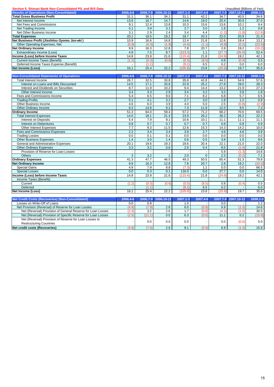| Section 5. Shinsei Bank Non-Consolidated P/L and B/S Data    |                  |          |                |          |              |              | Unaudited (Billions of Yen) |          |
|--------------------------------------------------------------|------------------|----------|----------------|----------|--------------|--------------|-----------------------------|----------|
| <b>Results of Operations (Non-Consolidated)</b>              | 2006.4-6         | 2006.7-9 | 2006.10-12     | 2007.1-3 | 2007.4-6     | 2007.7-9     | 2007.10-12                  | 2008.1-3 |
| <b>Total Gross Business Profit</b>                           | 31.1             | 36.1     | 34.1           | 31.1     | 42.2         | 34.7         | 40.5                        | 34.6     |
| Net Interest Income                                          | 13.6             | 16.7     | 14.7           | 14.6     | 19.0         | 20.4         | 30.9                        | 37.0     |
| Net Fees and Commissions                                     | 9.1              | 12.4     | 13.8           | 10.3     | 15.6         | 13.6         | 10.1                        | 9.4      |
| Net Trading Income                                           | 5.1              | 3.9      | 3.1            | 2.7      | 3.0          | 1.8          | 1.2                         | 0.8      |
| Net Other Business Income                                    | 3.1              | 2.9      | 2.4            | 3.4      | 4.4          | (1.2)        | (1.8)                       | (12.6)   |
| <b>Total Expenses</b>                                        | 20.1             | 19.5     | 19.2           | 18.7     | 20.3         | 22.0         | 20.9                        | 21.3     |
| Net Business Profit (Jisshitsu Gyomu Jun-eki)                | 10.9             | 16.6     | 14.8           | 12.4     | 21.8         | 12.6         | 19.4                        | 13.2     |
| Other Operating Expenses, Net                                | (0.9)            | (0.3)    | (1.9)          | (4.5)    | (1.1)        | (9.8)        | (0.2)                       | (23.5)   |
| <b>Net Ordinary Income</b>                                   | 9.9              | 16.3     | 12.8           | 7.8      | 20.7         | 2.8          | 19.2                        | (10.2)   |
| Extraordinary Income (Loss)                                  | 4.8              | 7.5      | 8.7            | (123.3)  | 1.1          | (27.7)       | (35.0)                      | 52.4     |
| Income (Loss) before Income Taxes                            | 14.8             | 23.9     | 21.6           | (115.4)  | 21.8         | (24.9)       | 19.2                        | 42.1     |
| <b>Current Income Taxes (Benefit)</b>                        | (1.2)            | (0.3)    | (0.6)          | (0.5)    | (8.5)        | 0.8          | (0.4)                       | 0.5      |
|                                                              |                  | (1.1)    |                |          |              | 0.2          |                             |          |
| Deferred Income Taxes Expense (Benefit)                      |                  |          |                | (9.1)    | 6.5          |              | 0.0                         | 6.0      |
| <b>Net Income (Loss)</b>                                     | 16.1             | 25.4     | 22.2           | (105.8)  | 23.8         | (25.9)       | 19.7                        | 35.6     |
| <b>Non-Consolidated Statements of Operations</b>             | 2006.4-6         | 2006.7-9 | 2006.10-12     | 2007.1-3 | 2007.4-6     | $2007.7 - 9$ | 2007.10-12                  | 2008.1-3 |
| <b>Total Interest Income</b>                                 | 26.7             | 32.5     | 33.8           | 35.8     | 42.8         | 44.3         | 54.9                        | 57.6     |
| Interest on Loans and Bills Discounted                       | 14.5             | 17.1     | 20.6           | 22.9     | 25.2         | 27.8         | 29.0                        | 28.3     |
| Interest and Dividends on Securities                         | 8.7              | 11.9     | 10.2           | 9.4      | 14.4         | 13.2         | 21.9                        | 27.3     |
| Other Interest Income                                        | 3.4              | 3.3      | 2.9            | 3.4      | 3.2          | 3.2          | 3.8                         | 1.9      |
| Fees and Commissions Income                                  | 5.4              | 6.5      | 9.0            | 7.1      | 8.2          | 6.8          | 5.7                         | 6.5      |
| <b>Trading Profits</b>                                       | 5.1              | 4.1      | 3.2            | 2.7      | 3.0          | 1.8          | 1.2                         | 0.9      |
| Other Business Income                                        | 4.6              | 6.0      | 3.9            | 4.0      | 5.0          | 2.5          | (0.8)                       | (2.9)    |
| Other Ordinary Income                                        | 9.3              | 14.8     | 9.2            | 7.3      | 11.9         | 12.5         | 9.5                         | 7.3      |
| <b>Ordinary Income</b>                                       | 51.3             | 64.0     | 59.4           | 57.2     | 71.2         | 68.2         | 70.6                        | 69.5     |
|                                                              | 14.0             | 18.1     | 21.4           | 23.9     | 26.2         | 26.2         | 26.2                        | 22.2     |
| <b>Total Interest Expenses</b>                               |                  |          |                |          |              |              |                             |          |
| Interest on Deposits                                         | 5.4              | 7.9      | 9.1            | 10.6     | 10.1         | 11.1         | 11.1                        | 11.1     |
| <b>Interest on Debentures</b>                                | 0.8              | 0.7      | 0.7            | 0.7      | 0.7          | 0.8          | 0.8                         | 0.9      |
| Other Interest Expenses                                      | 7.7              | 9.3      | 11.5           | 12.6     | 15.3         | 14.3         | 14.2                        | 10.0     |
| Fees and Commissions Expenses                                | $\overline{2.2}$ | 3.4      | 3.4            | 3.9      | 2.7          | 4.6          | 4.6                         | 3.9      |
| <b>Trading Losses</b>                                        | 0.0              | 0.1      | 0.1            | 0.0      | 0.0          | 0.0          | 0.0                         | 0.0      |
| <b>Other Business Expenses</b>                               | 1.4              | 3.0      | 1.4            | 0.6      | 0.5          | 3.8          | 1.0                         | 9.6      |
| General and Administrative Expenses                          | 20.1             | 19.6     | 19.3           | 18.6     | 20.4         | 22.1         | 21.0                        | 22.0     |
| <b>Other Ordinary Expenses</b>                               | 3.3              | 3.2      | 0.6            | 2.0      | 0.4          | 8.5          | (1.6)                       | 21.8     |
| Provision of Reserve for Loan Losses                         |                  |          |                |          |              | 5.9          | (1.3)                       | 14.6     |
| <b>Others</b>                                                | $\overline{3}$   | 3.2      | $\overline{1}$ | 2.0      | $\mathbf{0}$ | 2.5          | (0.2)                       | 7.1      |
| <b>Ordinary Expenses</b>                                     | 41.3             | 47.7     | 46.5           | 49.3     | 50.5         | 65.4         | 51.3                        | 79.8     |
| <b>Net Ordinary Income</b>                                   | 9.9              | 16.3     | 12.8           | 7.8      | 20.7         | 2.8          | 19.2                        | (10.2)   |
| <b>Special Gains</b>                                         | 4.9              | 7.9      | 8.8            | (7.3)    | 1.1          | 0.0          | 0.0                         | 66.5     |
| <b>Special Losses</b>                                        | 0.0              | 0.3      | 0.1            | 116.0    | 0.0          | 27.7         | 0.0                         | 14.0     |
| Income (Loss) before Income Taxes                            | 14.8             | 23.9     | 21.6           | (115.4)  | 21.8         | (24.9)       | 19.2                        | 42.1     |
| Income Taxes (Benefit)                                       |                  |          |                |          |              |              |                             |          |
| Current                                                      | (1.2)            | (0.3)    | (0.6)          | (0.5)    | (8.5)        | 0.8          | (0.4)                       | 0.5      |
| Deferred                                                     |                  | (1.1)    |                | (9.1)    | 6.5          | 0.2          |                             | 6.0      |
| Net Income (Loss)                                            | 16.1             | 25.4     | 22.2           | (105.8)  | 23.8         | (25.9)       | 19.7                        | 35.6     |
|                                                              |                  |          |                |          |              |              |                             |          |
| <b>Net Credit Costs (Recoveries) (Non-Consolidated)</b>      | 2006.4-6         | 2006.7-9 | 2006.10-12     | 2007.1-3 | 2007.4-6     | 2007.7-9     | 2007.10-12                  | 2008.1-3 |
| Losses on Write-Off of Loans                                 | 0.0              | 0.8      |                | 1.0      |              | 0.0          |                             | 1.2      |
| Net Provision (Reversal) of Reserve for Loan Losses          | (4.9)            | (7.9)    | 2.6            | 8.0      | (0.9)        | 6.9          | (1.3)                       | 14.6     |
| Net (Reversal) Provision of General Reserve for Loan Losses  | (2.3)            | 3.2      | 2.6            | 1.7      | (0.8)        | (4.1)        | (1.5)                       | 30.5     |
| Net (Reversal) Provision of Specific Reserve for Loan Losses | (2.5)            | (11.1)   | 0.0            | 6.3      | (0.0)        | 11.1         | 0.2                         | (15.8)   |
| Net (Reversal) Provision of Reserve for Loan Losses to       |                  | 0.0      |                |          |              |              |                             |          |
| <b>Restructuring Countries</b>                               |                  |          | 0.0            | 0.0      |              | 0.0          | (0.0)                       | 0.0      |
| <b>Net credit costs (Recoveries)</b>                         | (4.9)            | (7.0)    | 2.6            | 9.1      | (0.9)        | 6.9          | (1.3)                       | 15.9     |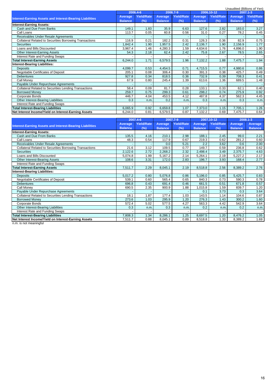|                                                                 |                |                   | Unaudited (Billions of Yen) |                   |                |            |                |                          |  |  |
|-----------------------------------------------------------------|----------------|-------------------|-----------------------------|-------------------|----------------|------------|----------------|--------------------------|--|--|
|                                                                 | 2006.4-6       |                   | 2006.7-9                    |                   | 2006.10-12     |            |                | 2007.1-3                 |  |  |
|                                                                 | Average        | <b>Yield/Rate</b> | <b>Average</b>              | <b>Yield/Rate</b> | Average        | Yield/Rate | Average        | <b>Yield/Rate</b>        |  |  |
| <b>Interest-Earning Assets and Interest-Bearing Liabilities</b> | <b>Balance</b> | (%)               | <b>Balance</b>              | (%)               | <b>Balance</b> | (%)        | <b>Balance</b> | $(\%)$                   |  |  |
| <b>Interest-Earning Assets:</b>                                 |                |                   |                             |                   |                |            |                |                          |  |  |
| Cash and Due From Banks                                         | 149.1          | 1.83              | 35.9                        | 6.63              | 127.6          | 2.82       | 183.0          | 3.27                     |  |  |
| Call Loans                                                      | 113.7          | 0.05              | 60.8                        | 0.56              | 31.0           | 0.27       | 78.2           | 0.45                     |  |  |
| Receivables Under Resale Agreements                             |                |                   |                             |                   |                |            |                |                          |  |  |
| <b>Collateral Related to Securities Borrowing Transactions</b>  | 116.9          | 0.21              | 182.2                       | 0.31              | 126.3          | 0.36       | 82.9           | 0.75                     |  |  |
| <b>Securities</b>                                               | ,842.4         | 1.90              | 1,957.5                     | 2.42              | 2,136.7        | 1.90       | 2,156.9        | 1.77                     |  |  |
| Loans and Bills Discounted                                      | 3,967.4        | 1.46              | 4,280.3                     | 1.59              | 4,634.6        | 1.76       | 4,896.0        | 1.90                     |  |  |
| Other Interest-Earning Assets                                   | 54.3           | 2.18              | 62.4                        | 2.42              | 75.8           | 2.67       | 78.5           | 2.65                     |  |  |
| Interest Rate and Funding Swaps                                 |                |                   |                             |                   |                |            |                |                          |  |  |
| <b>Total Interest-Earning Assets</b>                            | 6,244.0        | 1.71              | 6,579.5                     | 1.96              | 7,132.2        | 1.88       | 7,475.7        | 1.94                     |  |  |
| <b>Interest-Bearing Liabilities:</b>                            |                |                   |                             |                   |                |            |                |                          |  |  |
| <b>Deposits</b>                                                 | 4,099.7        | 0.53              | 4,454.5                     | 0.71              | 4,715.5        | 0.77       | 4,980.6        | 0.86                     |  |  |
| Negotiable Certificates of Deposit                              | 205.1          | 0.08              | 306.4                       | 0.30              | 391.3          | 0.38       | 425.7          | 0.49                     |  |  |
| <b>Debentures</b>                                               | 927.8          | 0.34              | 818.5                       | 0.36              | 732.9          | 0.39       | 708.3          | 0.41                     |  |  |
| Call Money                                                      | 67.9           | 0.80              | 245.4                       | 1.39              | 613.6          | 1.36       | 689.5          | 1.48                     |  |  |
| Payable Under Repurchase Agreements                             |                |                   |                             |                   |                |            |                |                          |  |  |
| Collateral Related to Securities Lending Transactions           | 58.4           | 0.09              | 81.7                        | 0.28              | 133.1          | 0.33       | 62.1           | 0.40                     |  |  |
| <b>Borrowed Money</b>                                           | 259.7          | 0.75              | 299.3                       | 0.61              | 298.2          | 0.74       | 275.9          | 0.92                     |  |  |
| Corporate Bonds                                                 | 446.7          | 4.04              | 453.5                       | 4.12              | 487.8          | 4.37       | 562.3          | 4.45                     |  |  |
| Other Interest-Bearing Liabilities                              | 0.3            | n.m               | 0.2                         | n.m.              | 0.3            | n.m.       | 0.3            | n.m.                     |  |  |
| Interest Rate and Funding Swaps                                 |                |                   |                             |                   |                |            |                | $\overline{\phantom{a}}$ |  |  |
| <b>Total Interest-Bearing Liabilities</b>                       | 6,065.9        | 0.92              | 6,659.8                     | 1.07              | 7,373.0        | 1.15       | 7,705.1        | 1.26                     |  |  |
| Net Interest Income/Yield on Interest-Earning Assets            | 6,244.0        | 0.81              | 6,579.5                     | 0.87              | 7,132.2        | 0.69       | 7,475.7        | 0.64                     |  |  |

|                                                                 |                | 2007.4-6          |                | 2007.7-9          | 2007.10-12     |                   | 2008.1-3       |                |  |
|-----------------------------------------------------------------|----------------|-------------------|----------------|-------------------|----------------|-------------------|----------------|----------------|--|
| <b>Interest-Earning Assets and Interest-Bearing Liabilities</b> | Average        | <b>Yield/Rate</b> | Average        | <b>Yield/Rate</b> | Average        | <b>Yield/Rate</b> | Average        | Average        |  |
|                                                                 | <b>Balance</b> | (%)               | <b>Balance</b> | (%)               | <b>Balance</b> | (%)               | <b>Balance</b> | <b>Balance</b> |  |
| <b>Interest-Earning Assets:</b>                                 |                |                   |                |                   |                |                   |                |                |  |
| Cash and Due From Banks                                         | 135.5          | 4.16              | 210.1          | 2.98              | 188.1          | 2.45              | 99.0           | 2.21           |  |
| Call Loans                                                      | 48.3           | 0.54              | 117.9          | 0.67              | 219.3          | 0.62              | 281.2          | 0.60           |  |
| Receivables Under Resale Agreements                             |                |                   | 0.0            | 5.21              | 2.2            | 3.62              | 0.6            | 2.00           |  |
| Collateral Related to Securities Borrowing Transactions         | 21.6           | 3.12              | 109.5          | 0.77              | 149.7          | 0.59              | 236.8          | 0.62           |  |
| <b>Securities</b>                                               | 2,122.6        | 2.72              | 2,268.2        | 2.32              | 2,498.4        | 3.49              | 2,375.7        | 4.63           |  |
| Loans and Bills Discounted                                      | 5,074.8        | 1.99              | 5,167.2        | 2.14              | 5,264.1        | 2.19              | 5,227.2        | 2.17           |  |
| Other Interest-Bearing Assets                                   | 108.6          | 3.31              | 172.0          | 2.83              | 196.7          | 3.93              | 168.4          | 2.77           |  |
| Interest Rate and Funding Swaps                                 |                |                   |                |                   |                |                   |                |                |  |
| <b>Total Interest-Earning Assets</b>                            | 7,511.7        | 2.29              | 8,045.1        | 2.19              | 8,518.8        | 2.56              | 8,389.2        | 2.76           |  |
| <b>Interest-Bearing Liabilities:</b>                            |                |                   |                |                   |                |                   |                |                |  |
| <b>Deposits</b>                                                 | 5,017.2        | 0.80              | 5,076.8        | 0.86              | 5,196.0        | 0.85              | 5,425.7        | 0.83           |  |
| Negotiable Certificates of Deposit                              | 539.1          | 0.60              | 565.4          | 0.65              | 840.3          | 0.73              | 590.3          | 0.78           |  |
| <b>Debentures</b>                                               | 696.8          | 0.43              | 691.4          | 0.46              | 661.5          | 0.51              | 671.8          | 0.57           |  |
| Call Monev                                                      | 690.5          | 2.35              | 900.9          | 1.88              | 1,015.8        | 1.59              | 839.7          | 1.20           |  |
| Payable Under Repurchase Agreements                             |                |                   |                |                   | 0.1            | 3.73              | 0.3            | 3.64           |  |
| <b>Collateral Related to Securities Lending Transactions</b>    | 18.1           | 1.87              | 177.4          | 1.03              | 143.5          | 1.14              | 104.6          | 0.87           |  |
| <b>Borrowed Money</b>                                           | 273.6          | 1.03              | 295.9          | 1.20              | 276.3          | 1.43              | 300.2          | 1.60           |  |
| Corporate Bonds                                                 | 572.4          | 5.02              | 577.5          | 4.27              | 563.3          | 4.42              | 542.9          | 3.64           |  |
| Other Interest-Bearing Liabilities                              | 0.3            | n.m.              | 0.3            | n.m.              | 0.2            | n.m.              | 0.2            | n.m.           |  |
| Interest Rate and Funding Swaps                                 |                |                   |                |                   |                |                   |                |                |  |
| <b>Total Interest-Bearing Liabilities</b>                       | 7,808.3        | 1.34              | 8,286.1        | 1.25              | 8,697.5        | 1.20              | 8,476.2        | 1.05           |  |
| Net Interest Income/Yield on Interest-Earning Assets            | 7,511.7        | 0.88              | 8,045.1        | 0.89              | 8,518.8        | 1.33              | 8,389.2        | 1.69           |  |

n.m. is not meaningful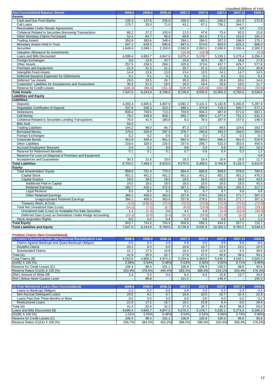|                                                                               |                 |                 |                 |                 |                 |                 | Unaudited (Billions of Yen) |                 |
|-------------------------------------------------------------------------------|-----------------|-----------------|-----------------|-----------------|-----------------|-----------------|-----------------------------|-----------------|
| <b>Non-Consolidated Balance Sheets</b>                                        | 2006.6          | 2006.9          | 2006.12         | 2007.3          | 2007.6          | 2007.9          | 2007.12                     | 2008.3          |
| Assets:<br>Cash and Due From Banks                                            | 135.3           | 137.8           | 235.0           | 190.0           | 193.1           | 238.0           | 161.9                       | 272.9           |
| Call Loans                                                                    | 175.7           | 20.0            | 71.0            | 43.1            | 67.1            | 736.1           | 544.7                       |                 |
| Receivables Under Resale Agreements                                           |                 |                 |                 | $\sim$          |                 |                 | 3.5                         | 2.0             |
| <b>Collateral Related to Securities Borrowing Transactions</b>                | 80.2            | 27.2            | 103.9           | 11.0            | 47.6            | 73.4            | 92.5                        | 13.8            |
| Other Monetary Claims Purchased                                               | 52.4            | 63.7            | 68.0            | 69.8            | 161.6           | 171.1           | 151.0                       | 161.3           |
| <b>Trading Assets</b><br>Monetary Assets Held in Trust                        | 350.9<br>547.1  | 393.6<br>628.3  | 348.4<br>690.6  | 284.1<br>687.3  | 284.0<br>674.6  | 207.3<br>603.5  | 199.5<br>625.3              | 275.1<br>606.0  |
| Securities                                                                    | 1,849.6         | 2,049.1         | 2,150.0         | 2,062.0         | 2,063.2         | 2,590.9         | 2,300.4                     | 2,300.3         |
| Valuation Allowance for Investments                                           |                 |                 |                 | (15.9)          | (15.9)          |                 |                             | (3.3)           |
| Loans and Bills Discounted                                                    | 4,099.4         | 4,683.7         | 4,847.0         | 5,075.2         | 5,178.7         | 5,335.1         | 5,273.4                     | 5,356.3         |
| Foreign Exchanges                                                             | 9.6             | 13.9            | 10.7            | 15.0            | 30.5            | 26.7            | 18.8                        | 17.8            |
| <b>Other Assets</b>                                                           | 257.5           | 238.5           | 284.1           | 325.6           | 373.6           | 437.7           | 429.7                       | 577.8           |
| <b>Premises and Equipment</b><br>Intangible Fixed Assets                      | 21.3<br>14.4    | 21.3<br>13.6    | 21.1<br>13.0    | 20.7<br>13.4    | 21.3<br>13.5    | 21.0<br>14.1    | 21.9<br>14.7                | 20.8<br>14.5    |
| Deferred Issuance Expenses for Debentures                                     | 0.1             | 0.1             | 0.1             | 0.1             | 0.1             | 0.1             | 0.1                         | 0.1             |
| Deferred Tax Assets                                                           | 29.0            | 29.5            | 26.7            | 35.5            | 28.8            | 30.9            | 28.6                        | 14.6            |
| Customers' Liabilities for Acceptances and Guarantees                         | 30.3            | 21.5            | 19.5            | 18.3            | 19.4            | 19.4            | 16.5                        | 11.7            |
| Reserve for Credit Losses                                                     | (106.4)         | (98.4)          | (101.1)         | (106.9)         | (105.9)         | (100.5)         | (99.6)                      | (93.6)          |
| <b>Total Assets</b>                                                           | 7,547.0         | 8,243.9         | 8,788.6         | 8,728.9         | 9,035.9         | 10,405.3        | 9,783.5                     | 9,548.6         |
| <b>Liabilities and Equity</b>                                                 |                 |                 |                 |                 |                 |                 |                             |                 |
| <b>Liabilities:</b><br>Deposits                                               | 4,283.4         | 4,665.6         | 4,807.9         | 4,991.2         | 5,101.5         | 5,192.8         | 5,300.8                     | 5,287.9         |
| <b>Negotiable Certificates of Deposit</b>                                     | 237.9           | 348.3           | 315.1           | 480.1           | 474.9           | 719.3           | 935.7                       | 577.1           |
| Debentures                                                                    | 848.4           | 759.5           | 713.2           | 703.9           | 694.3           | 687.8           | 671.6                       | 663.1           |
| <b>Call Money</b>                                                             | 79.2            | 449.9           | 808.1           | 692.7           | 698.0           | 1,377.4         | 751.3                       | 632.1           |
| <b>Collateral Related to Securities Lending Transactions</b>                  | 76.0            | 41.4            | 180.8           | 8.3             | 78.4            | 287.6           | 157.6                       | 148.4           |
| <b>Bills Sold</b>                                                             | 50.0            |                 |                 |                 |                 |                 |                             |                 |
| <b>Trading Liabilities</b>                                                    | 144.2<br>279.5  | 98.0            | 94.7<br>287.3   | 87.3<br>276.7   | 117.5           | 99.5            | 124.6<br>294.0              | 203.7           |
| <b>Borrowed Money</b><br>Foreign Exchanges                                    | 0.2             | 320.8<br>0.2    | 0.6             | 0.3             | 295.9<br>0.3    | 293.2<br>0.2    | 0.3                         | 304.0<br>0.2    |
| <b>Corporate Bonds</b>                                                        | 451.6           | 459.4           | 561.2           | 562.4           | 589.0           | 566.5           | 561.0                       | 519.9           |
| <b>Other Liabilities</b>                                                      | 218.4           | 328.5           | 226.5           | 237.6           | 295.7           | 510.3           | 303.4                       | 450.6           |
| <b>Accrued Employees' Bonuses</b>                                             | 3.4             | 5.3             | 8.0             | 9.8             | 3.4             | 5.8             | 8.5                         | 10.3            |
| Reserve for Retirement Benefits                                               | 0.1             | 0.1             | 0.1             | 0.7             | 0.6             | 0.4             | 0.3                         | 1.5             |
| Reserve For Loss on Disposal of Premises and Equipment                        |                 |                 |                 |                 |                 |                 |                             | 4.9             |
| <b>Acceptances and Guarantees</b><br><b>Total Liabilities</b>                 | 30.3<br>6,703.2 | 21.5<br>7,499.3 | 19.5<br>8,023.6 | 18.3<br>8,070.0 | 19.4<br>8,369.5 | 19.4<br>9,760.8 | 16.5<br>9,126.3             | 11.7<br>8,815.9 |
| Equity:                                                                       |                 |                 |                 |                 |                 |                 |                             |                 |
| <b>Total Shareholders' Equity</b>                                             | 858.0           | 751.4           | 770.2           | 664.4           | 685.6           | 659.6           | 678.9                       | 764.5           |
| <b>Capital Stock</b>                                                          | 451.2           | 451.2           | 451.2           | 451.2           | 451.2           | 451.2           | 451.2                       | 476.2           |
| <b>Capital Surplus</b>                                                        | 18.5            | 18.5            | 18.5            | 18.5            | 18.5            | 18.5            | 18.5                        | 43.5            |
| Additional Paid-in Capital                                                    | 18.5            | 18.5            | 18.5            | 18.5            | 18.5            | 18.5            | 18.5                        | 43.5            |
| <b>Retained Earnings</b><br>Legal Reserve                                     | 392.7<br>8.5    | 418.1<br>8.5    | 372.9<br>9.2    | 267.1<br>9.2    | 288.3<br>9.7    | 262.4<br>9.7    | 281.6<br>9.8                | 317.2<br>9.8    |
| <b>Other Retained Earnings</b>                                                | 384.1           | 409.5           | 363.6           | 257.8           | 278.5           | 252.6           | 271.7                       | 307.3           |
| <b>Unappropriated Retained Earnings</b>                                       | 384.1           | 409.5           | 363.6           | 257.8           | 278.5           | 252.6           | 271.7                       | 307.3           |
| <b>Treasury Stock, at Cost</b>                                                | (4.5)           | (136.5)         | (72.5)          | (72.5)          | (72.5)          | (72.5)          | (72.5)                      | (72.5)          |
| Total Net Unrealized Gain (Loss)                                              | (14.2)          | (7.0)           | (5.7)           | (6.0)           | (19.9)          | (16.0)          | (22.6)                      | (33.1)          |
| Unrealized Gain (Loss) on Available-For-Sale Securities                       | 1.1             | (1.3)           | 3.6             | 4.1             | 5.0             | (4.4)           | (13.4)                      | (35.0)          |
| Deferred Gain (Loss) on Derivatives Under Hedge Accounting                    | (15.3)          | (5.6)           | (9.4)           | (10.2)          | (25.0)          | (11.6)          | (9.2)                       | 1.8<br>1.2      |
| <b>Stock Acquisition Rights</b><br><b>Total Equity</b>                        | 0.0<br>843.7    | 0.2<br>744.6    | 0.4<br>764.9    | 0.5<br>658.8    | 0.6<br>666.3    | 0.8<br>644.5    | 1.0<br>657.2                | 732.7           |
| <b>Total Liabilities and Equity</b>                                           | 7,547.0         | 8,243.9         | 8,788.6         | 8,728.9         | 9,035.9         | 10,405.3        | 9,783.5                     | 9,548.6         |
|                                                                               |                 |                 |                 |                 |                 |                 |                             |                 |
| <b>Problem Claims (Non-Consolidated)</b>                                      |                 |                 |                 |                 |                 |                 |                             |                 |
| (i) Claims Classified Under the Financial Revitalization Law                  | 2006.6          | 2006.9          | 2006.12         | 2007.3          | 2007.6          | 2007.9          | 2007.12                     | 2008.3          |
| Claims Against Bankrupt and Quasi-Bankrupt Obligors<br><b>Doubtful Claims</b> | 0.5<br>20.2     | 0.3<br>8.3      | 0.9<br>6.0      | 0.9<br>10.8     | 0.6<br>10.7     | 9.9<br>23.5     | 9.9<br>23.2                 | 8.0<br>15.5     |
|                                                                               |                 |                 |                 |                 |                 |                 |                             | 29.6            |
|                                                                               |                 |                 |                 |                 |                 |                 |                             |                 |
| <b>Substandard Claims</b>                                                     | 21.1            | 17.3            | 15.8            | 16.2            | 15.9            | 12.6            | 6.2                         |                 |
| Total (A)<br>Total Claims (B)                                                 | 41.9<br>4,253.8 | 26.0<br>4,806.5 | 22.7<br>4,974.4 | 27.9<br>5,294.6 | 27.2<br>5,469.9 | 45.9<br>5,630.1 | 39.3<br>5,546.1             | 53.1<br>5,566.0 |
| $(A)/(B)$ X 100 $(%$                                                          | 0.98%           | 0.54%           | 0.46%           | 0.53%           | 0.50%           | 0.82%           | 0.71%                       | 0.95%           |
| Reserve for Credit Losses (C)                                                 | 106.4           | 98.4            | 101.1           | 106.9           | 105.9           | 100.5           | 99.6                        | 93.6            |
| Reserve Ratios (C)/(A) X 100 (%)                                              | 253.9%          | 378.5%          | 445.4%          | 383.2%          | 389.3%          | 219.1%          | 253.4%                      | 176.3%          |
| (Ref.) Amount of Write-Off                                                    | 2.4             | 3.4             | 3.4             | 6.4             | 6.5             | 15.8            | 15.7                        | 34.6            |
| (Ref.) Below Need Caution Level                                               |                 | 99.8            |                 | 151.5           |                 | 148.4           |                             | 159.3           |
| (ii) Risk Monitored Loans (Non-Consolidated)                                  | 2006.6          | 2006.9          | 2006.12         | 2007.3          | 2007.6          | 2007.9          | 2007.12                     |                 |
| Loans to Bankrupt Obligors                                                    | 0.3             | 0.2             | 0.8             | 0.6             | 0.3             | 0.3             | 0.3                         | 0.5             |
| Non-Accrual Delinquent Loans                                                  | 20.0            | 8.1             | 5.7             | 10.6            | 10.5            | 32.7            | 32.4                        | 2008.3<br>22.8  |
| Loans Past Due Three Months or More                                           | 0.0             | 0.0             | 0.0             | 0.0             | 0.0             | 6.0             | 0.0                         | 0.1             |
| <b>Restructured Loans</b>                                                     | 21.0            | 17.2            | 15.7            | 16.1            | 15.8            | 6.4             | 6.0                         | 29.4            |
| Total (A)                                                                     | 41.4            | 25.6            | 22.3            | 27.4            | 26.7            | 45.6            | 38.8                        | 53.0            |
| Loans and Bills Discounted (B)                                                | 4,099.4         | 4,683.7         | 4,847.0         | 5,075.2         | 5,178.7         | 5,335.1         | 5,273.4                     | 5,356.3         |
| $(A)/(B)$ X 100 $(\%)$<br>Reserve for Credit Losses (C)                       | 1.01%<br>106.4  | 0.55%<br>98.4   | 0.46%<br>101.1  | 0.54%<br>106.9  | 0.52%<br>105.9  | 0.86%<br>100.5  | 0.74%<br>99.6               | 0.99%<br>93.6   |